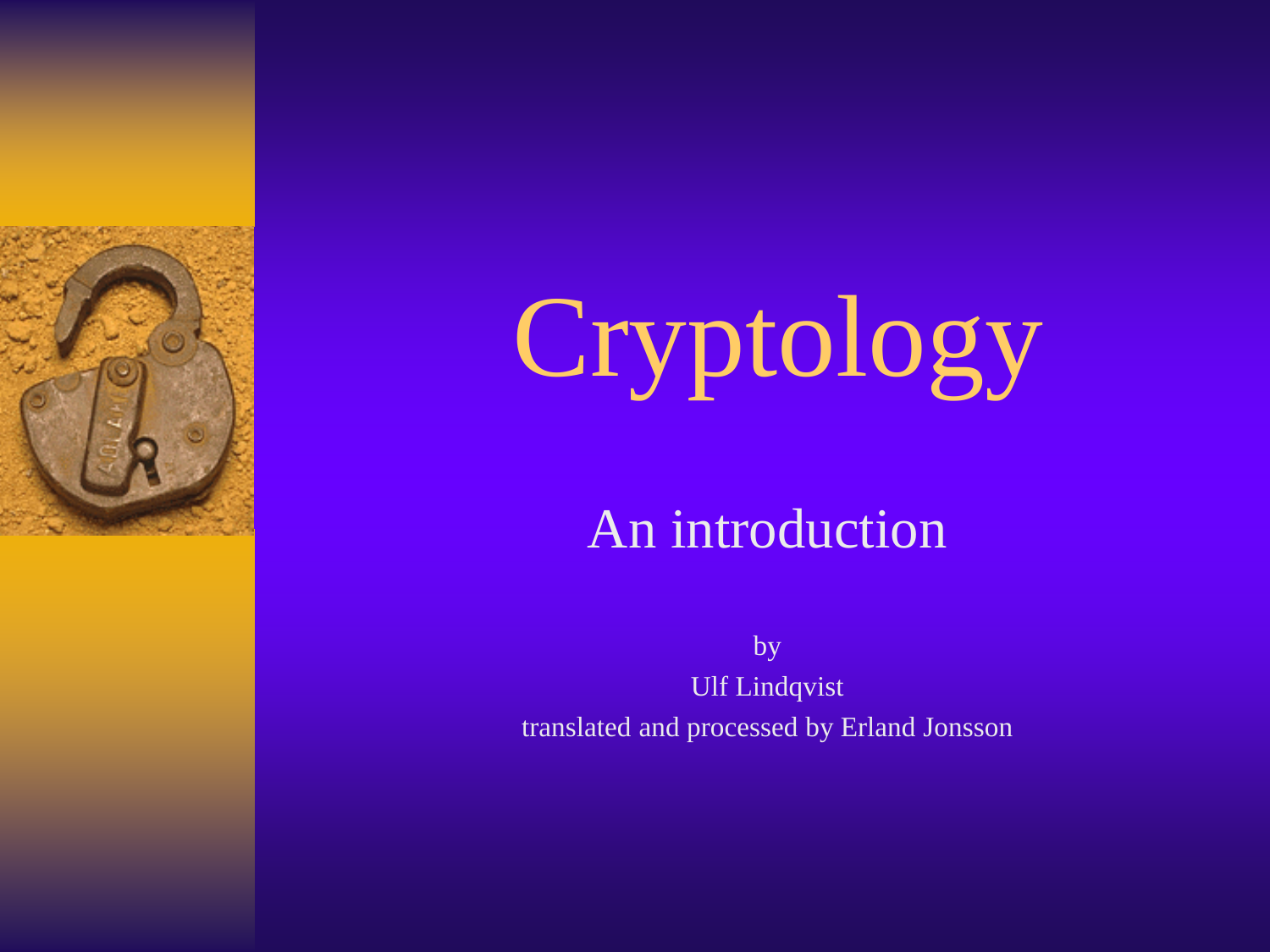



An introduction

by Ulf Lindqvist translated and processed by Erland Jonsson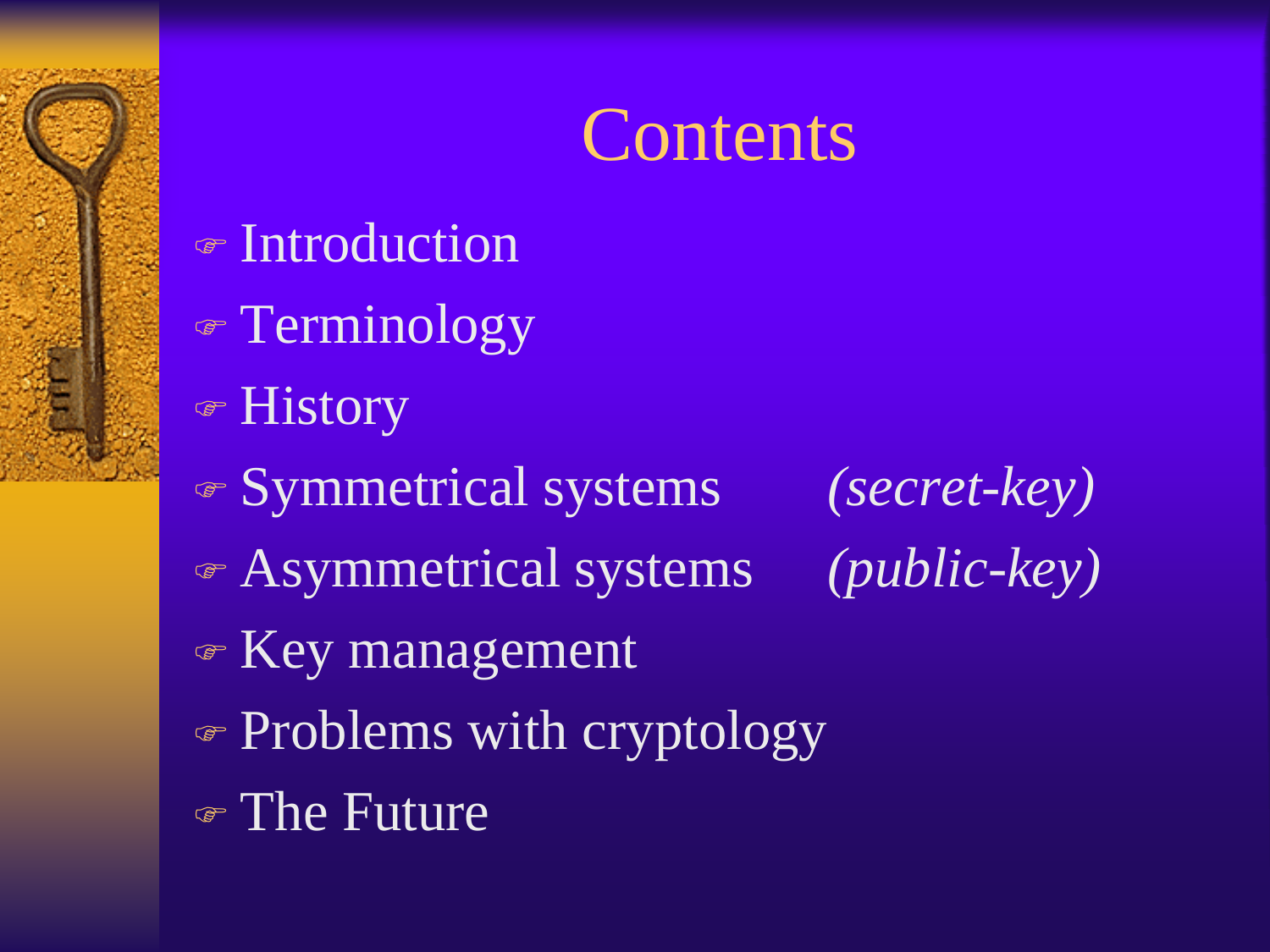#### **Contents**

- Introduction
- Terminology
- History
- Symmetrical systems *(secret-key)*
- Asymmetrical systems *(public-key)*
- 

- Key management
- Problems with cryptology
- The Future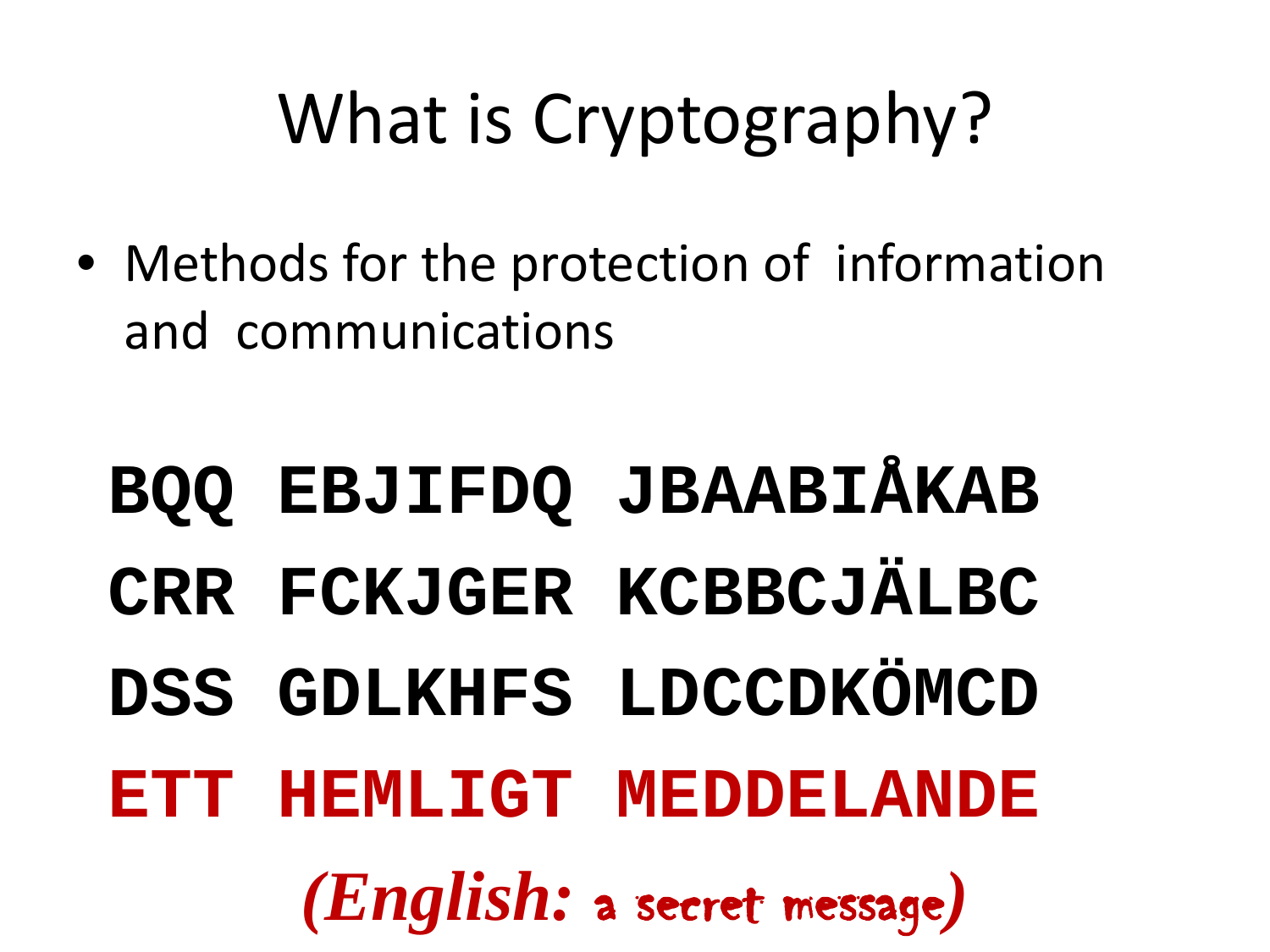## What is Cryptography?

• Methods for the protection of information and communications

**BQQ EBJIFDQ JBAABIÅKAB CRR FCKJGER KCBBCJÄLBC DSS GDLKHFS LDCCDKÖMCD ETT HEMLIGT MEDDELANDE** *(English:* a secret message*)*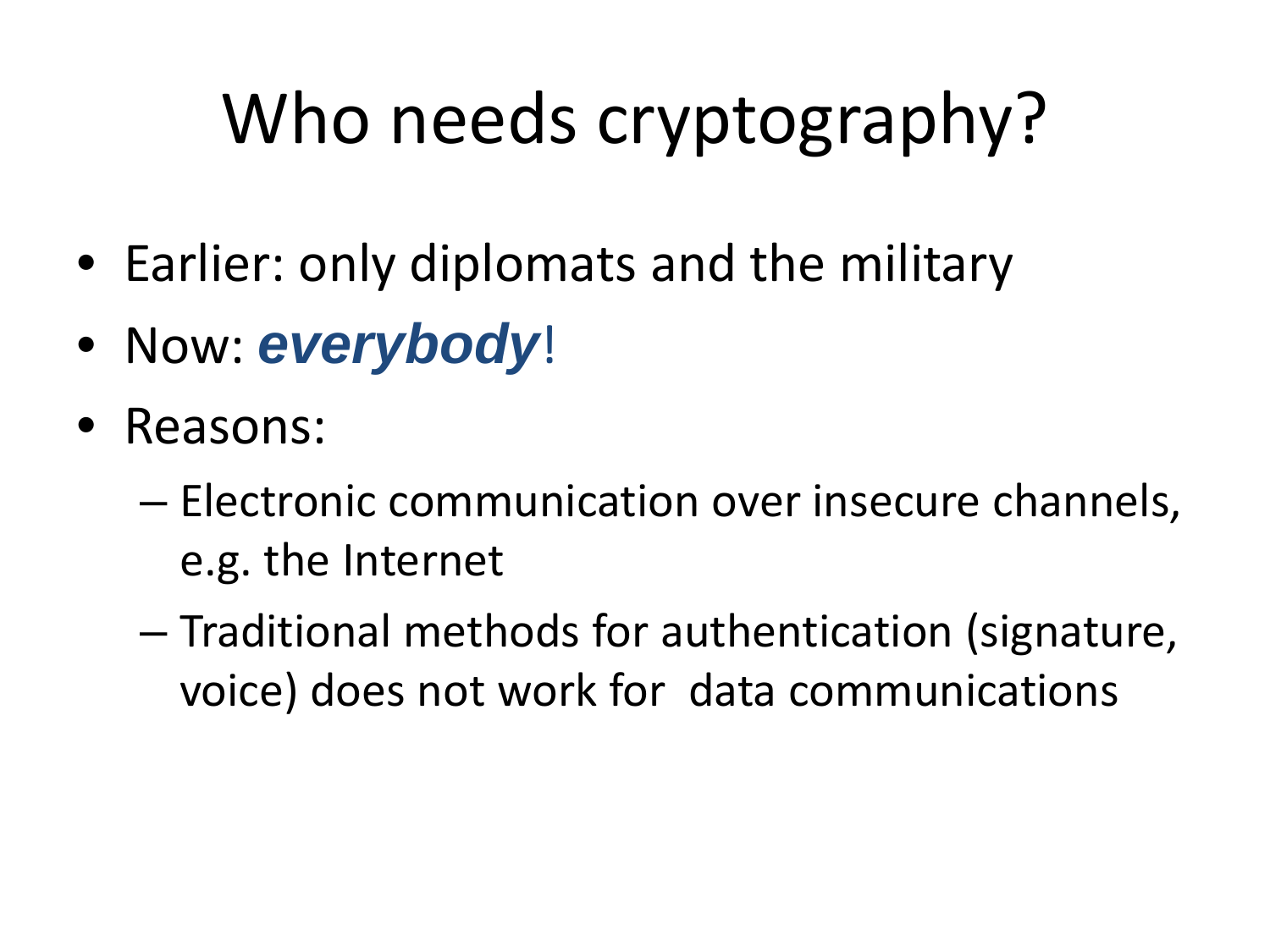# Who needs cryptography?

- Earlier: only diplomats and the military
- Now: *everybody*!
- Reasons:
	- Electronic communication over insecure channels, e.g. the Internet
	- Traditional methods for authentication (signature, voice) does not work for data communications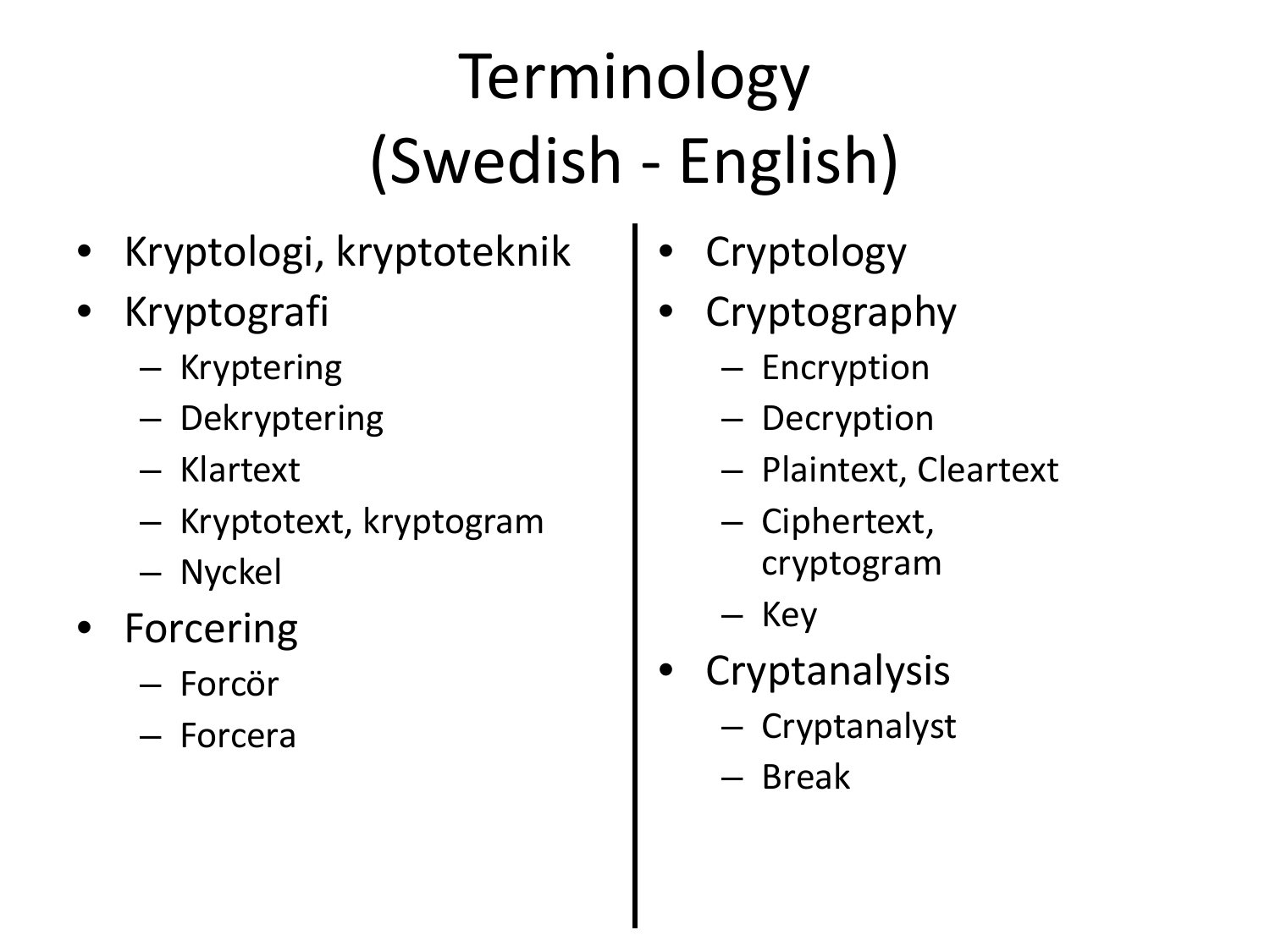## Terminology (Swedish - English)

- Kryptologi, kryptoteknik
- **Kryptografi** 
	- Kryptering
	- Dekryptering
	- Klartext
	- Kryptotext, kryptogram
	- Nyckel
- **Forcering** 
	- Forcör
	- Forcera
- **Cryptology**
- **Cryptography** 
	- Encryption
	- Decryption
	- Plaintext, Cleartext
	- Ciphertext, cryptogram
	- Key
- **Cryptanalysis** 
	- Cryptanalyst
	- Break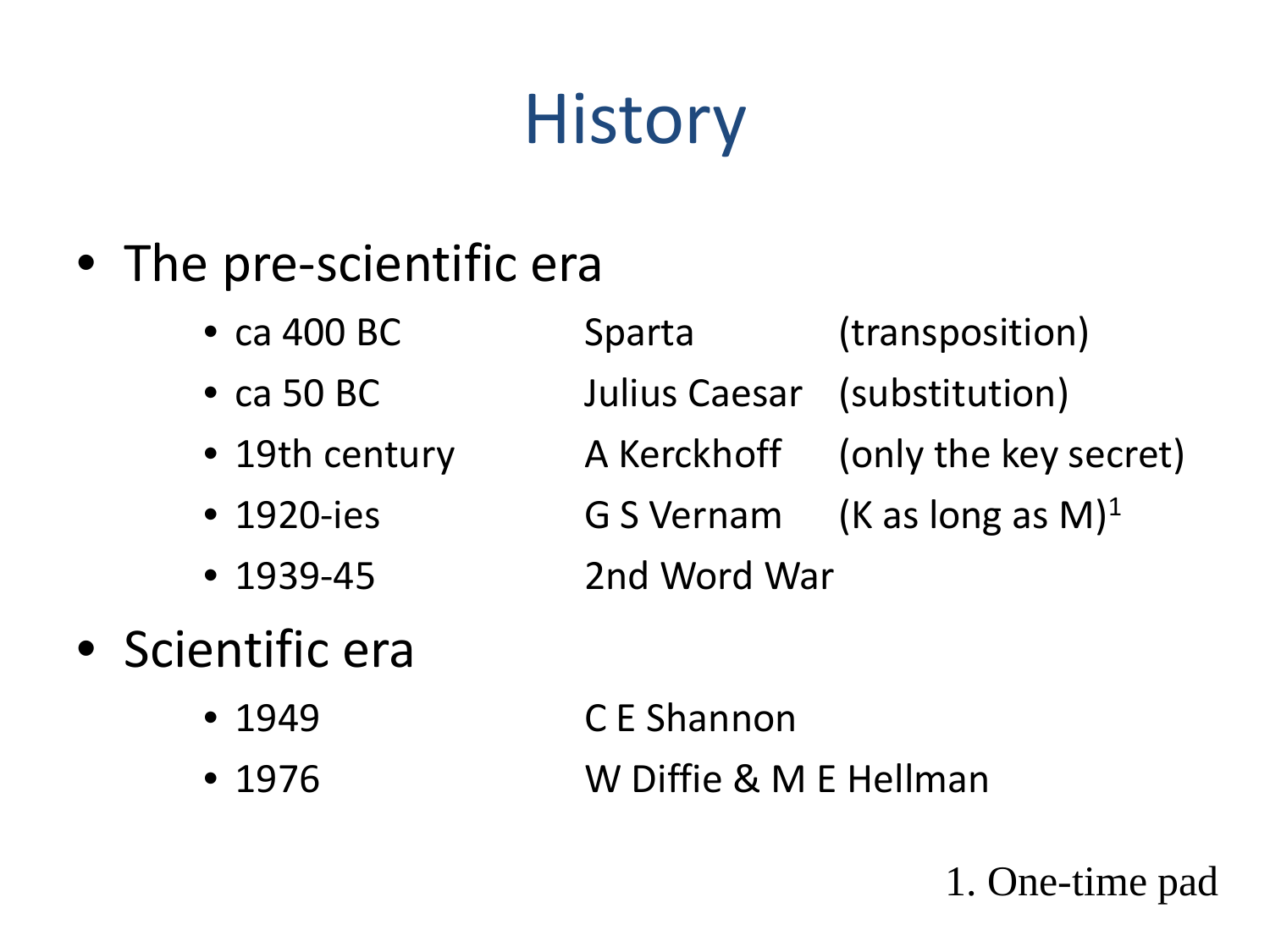## **History**

- The pre-scientific era
	-
	-
	-
	-
	-
	- ca 400 BC Sparta (transposition) • ca 50 BC Julius Caesar (substitution) • 19th century  $\blacksquare$  A Kerckhoff (only the key secret) • 1920-ies G S Vernam (K as long as M)1 • 1939-45 2nd Word War
- Scientific era
	-
	-
	- 1949 C E Shannon • 1976 W Diffie & M E Hellman

1. One-time pad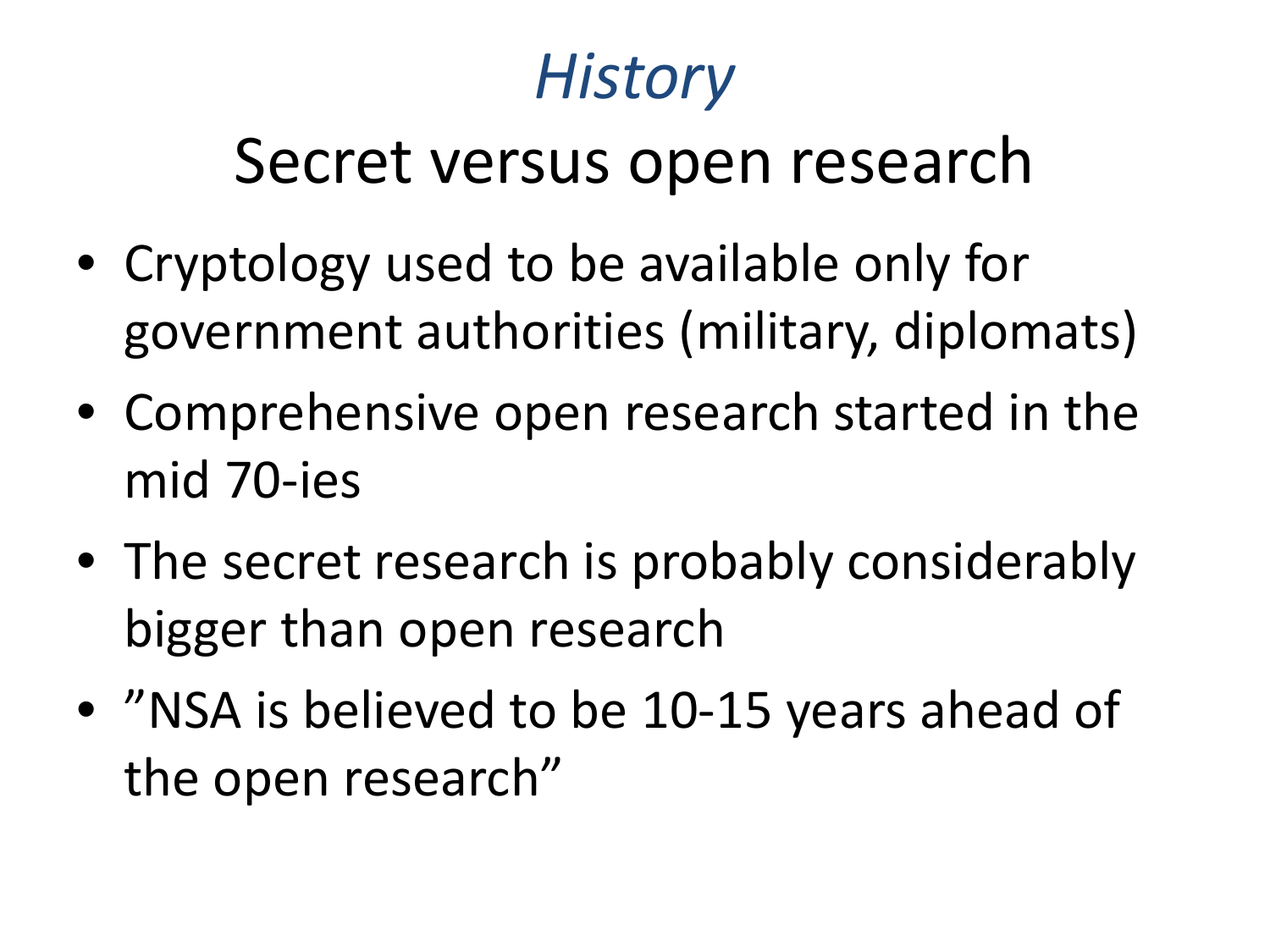#### *History*

#### Secret versus open research

- Cryptology used to be available only for government authorities (military, diplomats)
- Comprehensive open research started in the mid 70-ies
- The secret research is probably considerably bigger than open research
- "NSA is believed to be 10-15 years ahead of the open research"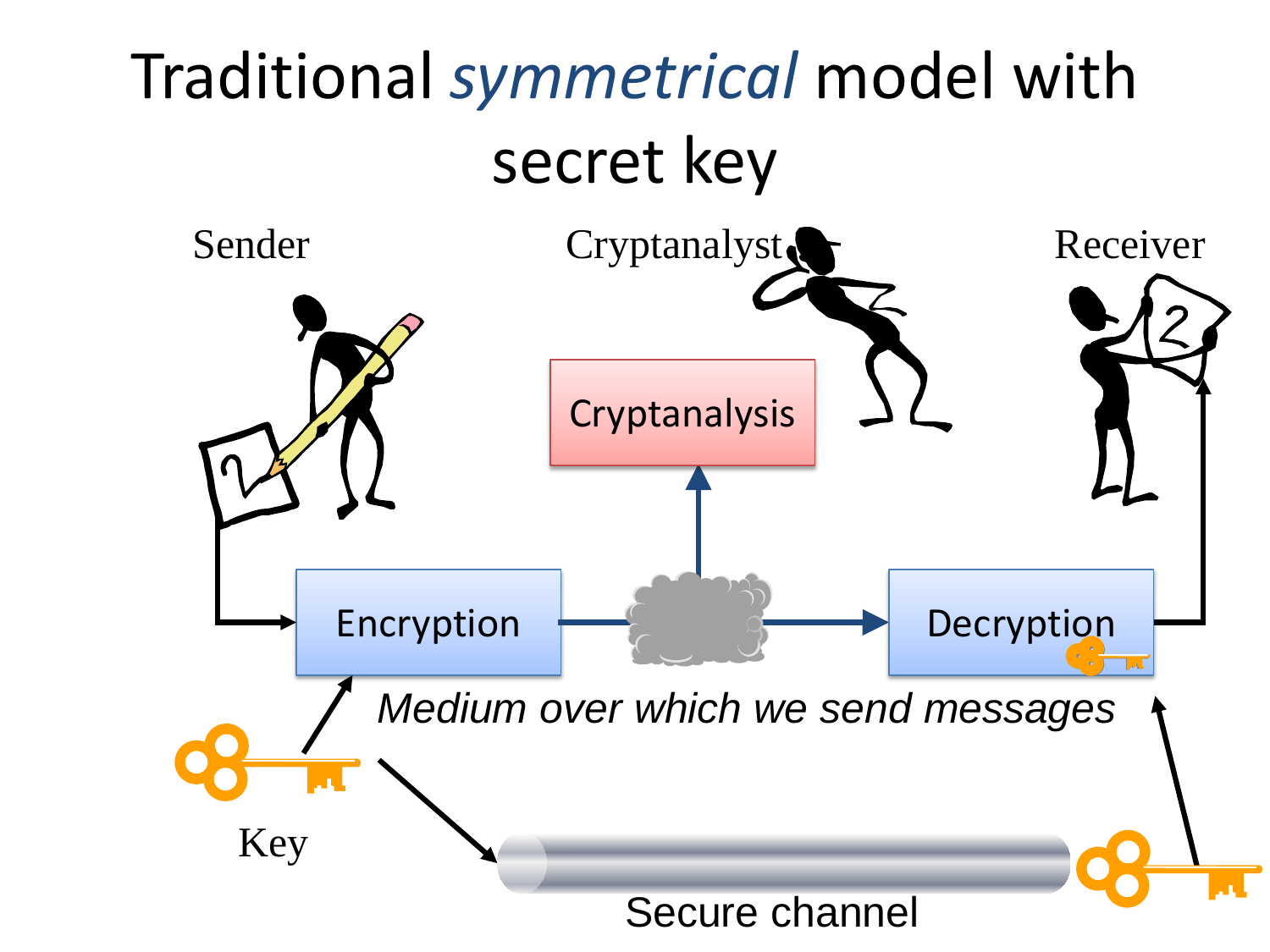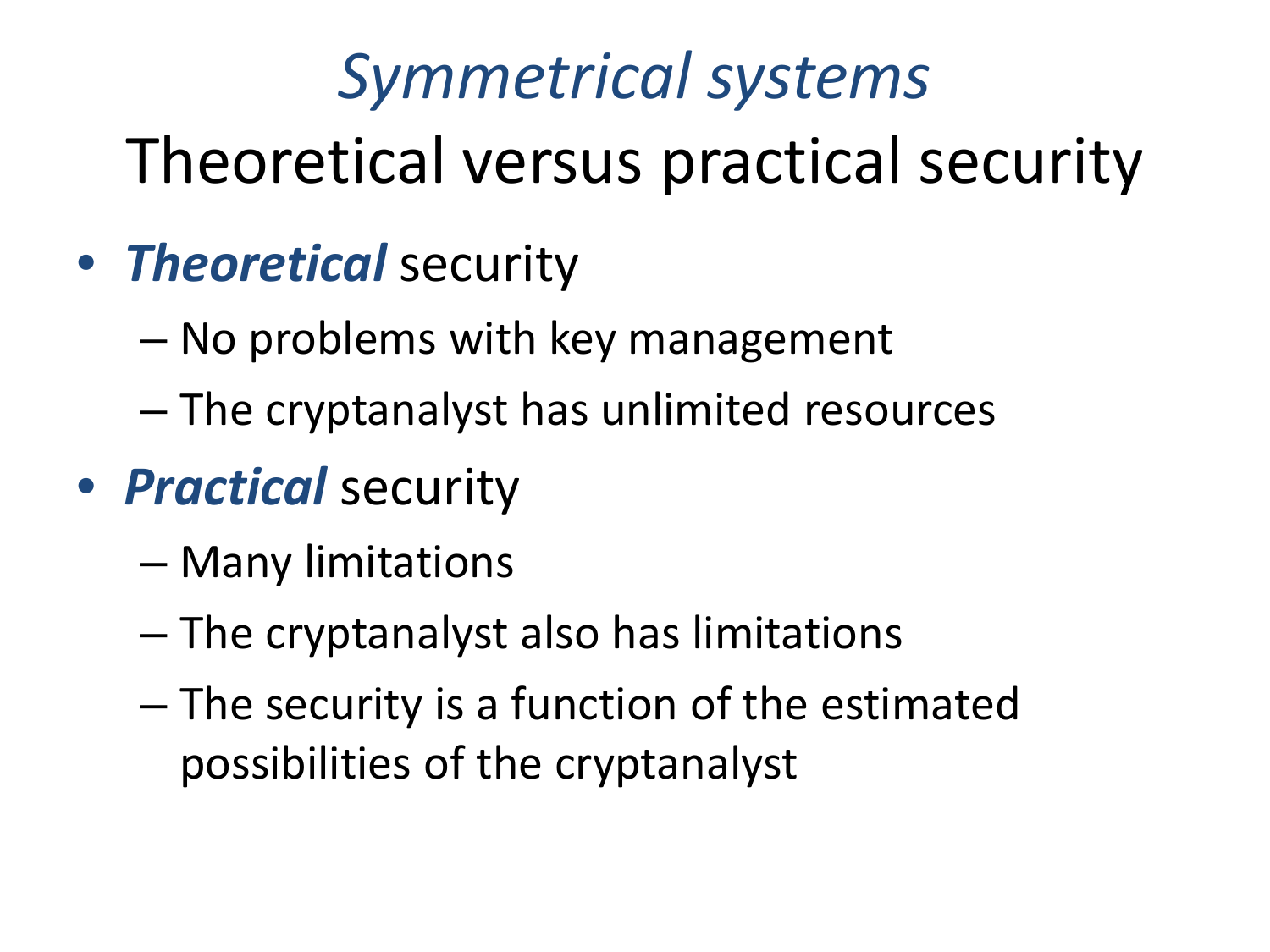#### *Symmetrical systems* Theoretical versus practical security

- *Theoretical* security
	- No problems with key management
	- The cryptanalyst has unlimited resources
- *Practical* security
	- Many limitations
	- The cryptanalyst also has limitations
	- The security is a function of the estimated possibilities of the cryptanalyst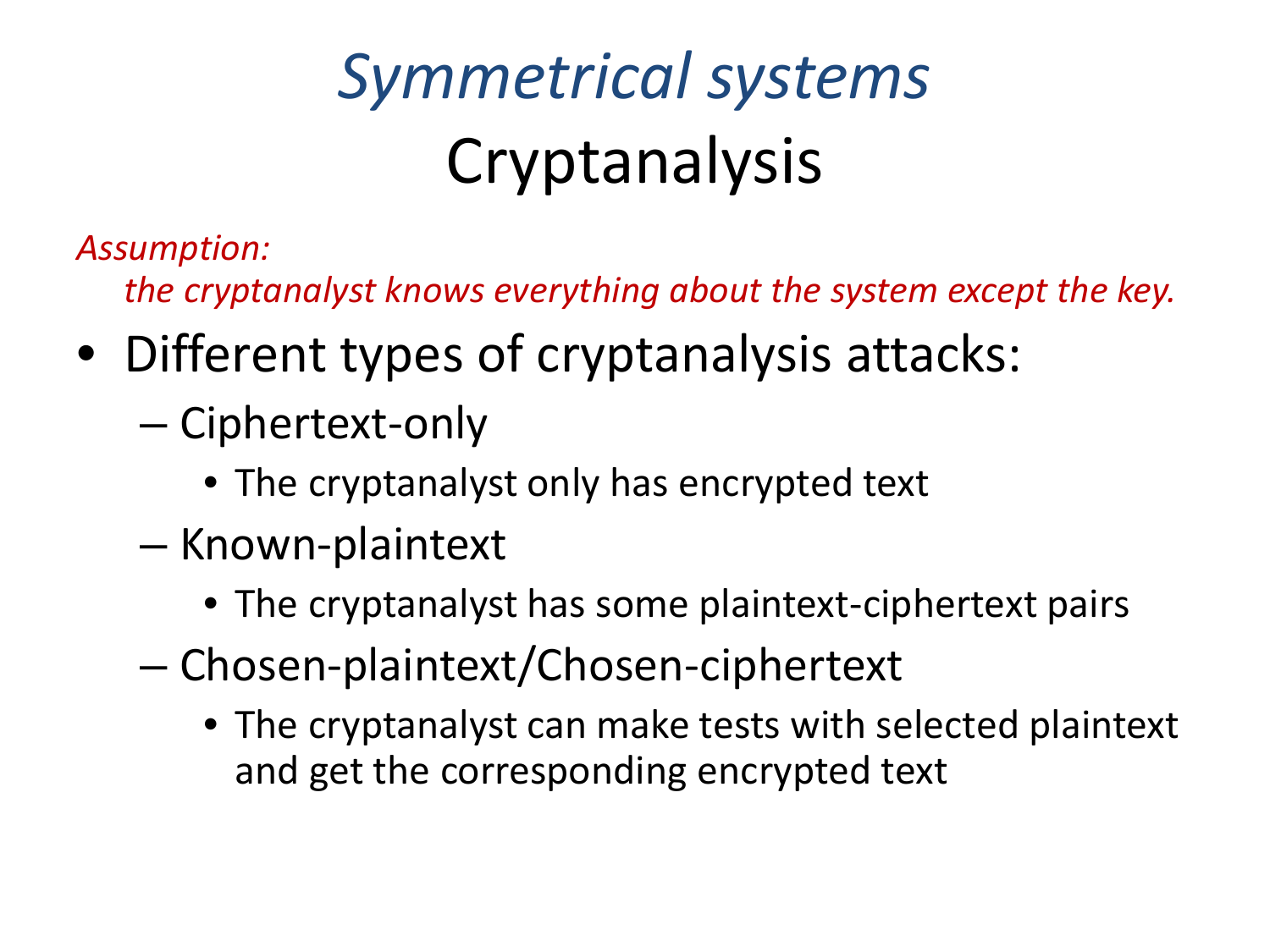## *Symmetrical systems* Cryptanalysis

*Assumption:* 

*the cryptanalyst knows everything about the system except the key.*

- Different types of cryptanalysis attacks:
	- Ciphertext-only
		- The cryptanalyst only has encrypted text
	- Known-plaintext
		- The cryptanalyst has some plaintext-ciphertext pairs
	- Chosen-plaintext/Chosen-ciphertext
		- The cryptanalyst can make tests with selected plaintext and get the corresponding encrypted text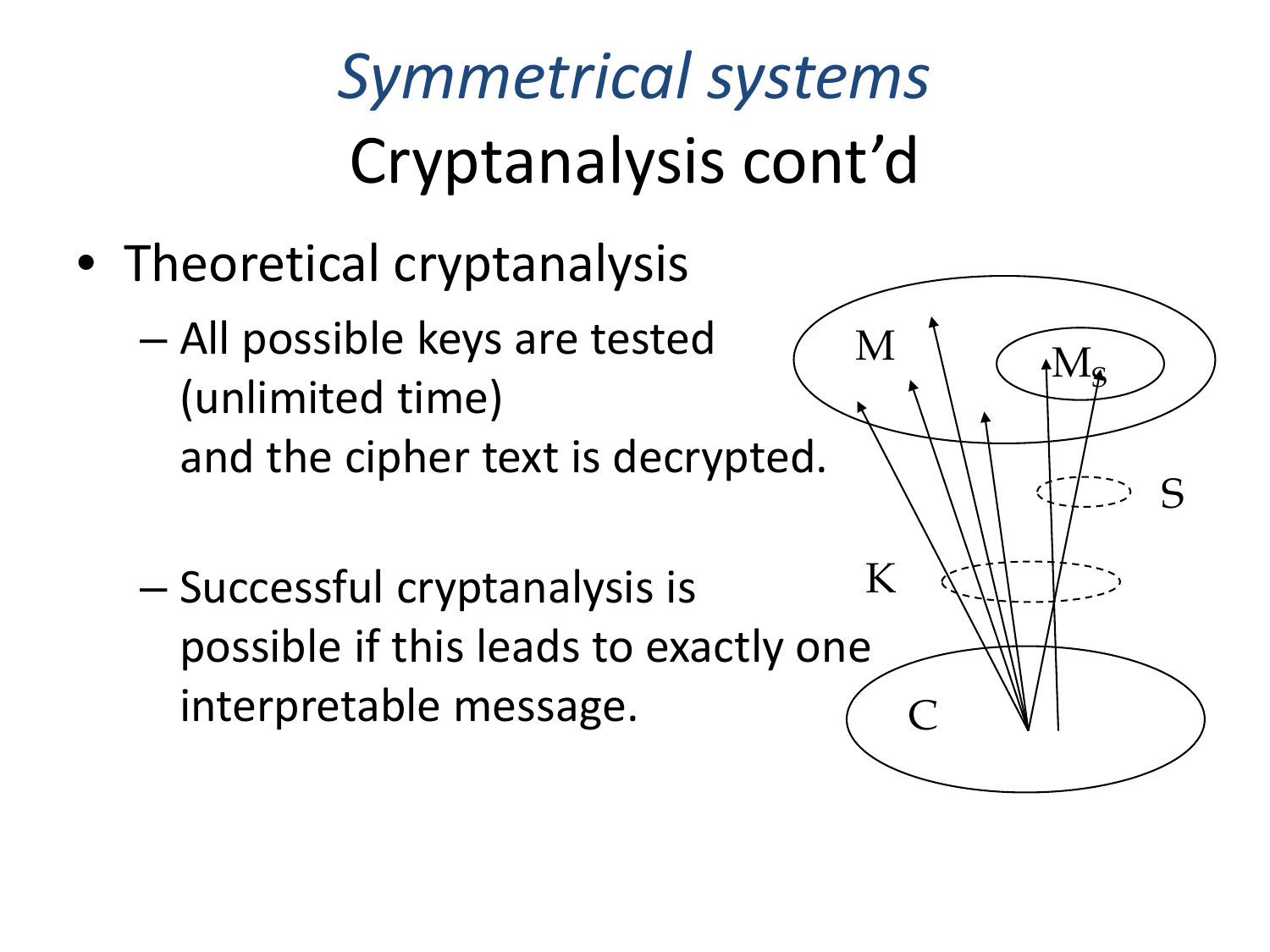*Symmetrical systems* Cryptanalysis cont'd

• Theoretical cryptanalysis

– All possible keys are tested (unlimited time) and the cipher text is decrypted.

– Successful cryptanalysis is possible if this leads to exactly one interpretable message.

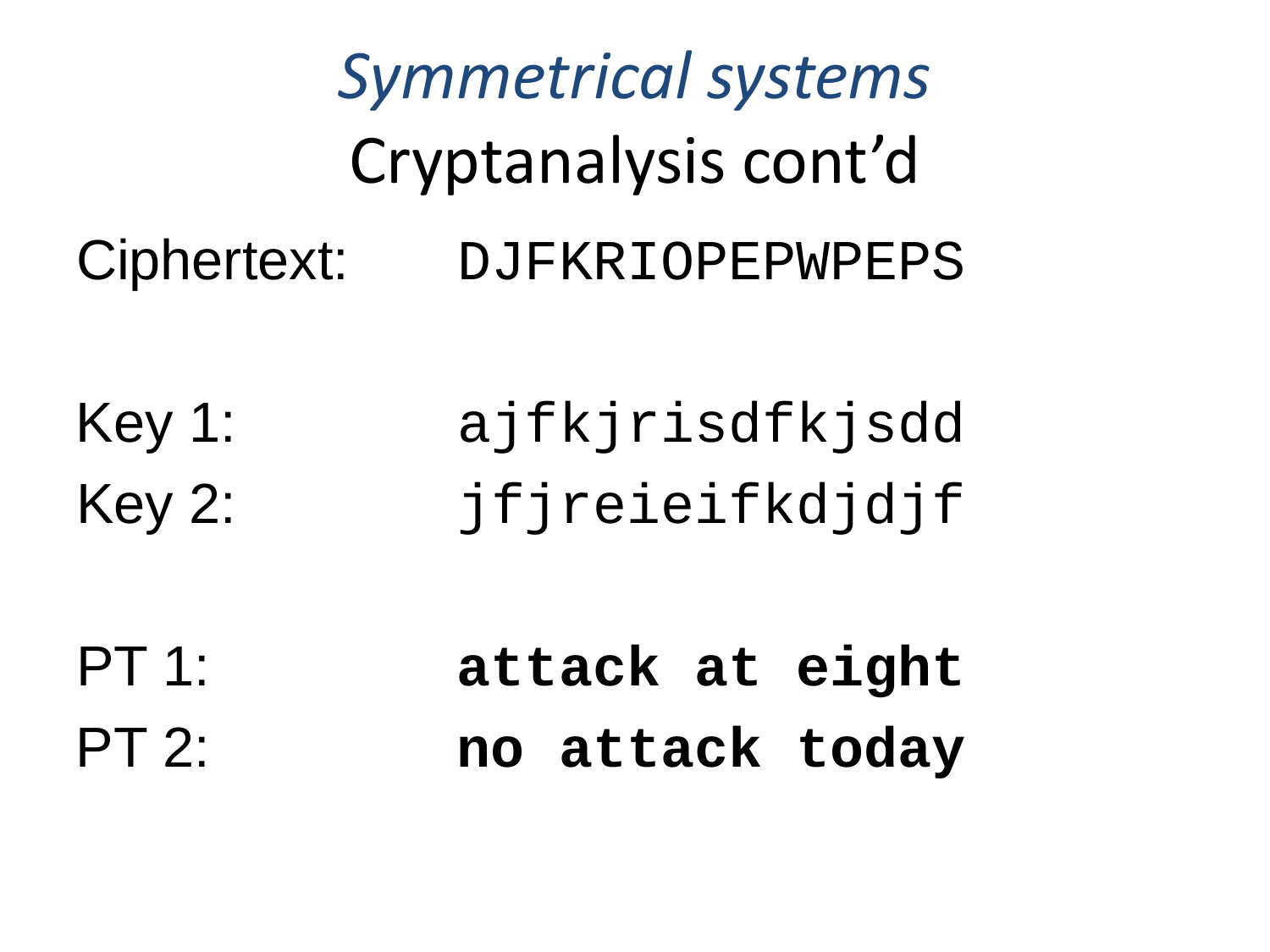*Symmetrical systems* Cryptanalysis cont'd Ciphertext: DJFKRIOPEPWPEPS Key 1: ajfkjrisdfkjsdd Key 2: jfjreieifkdjdjf PT 1: **attack at eight** PT 2: **no attack today**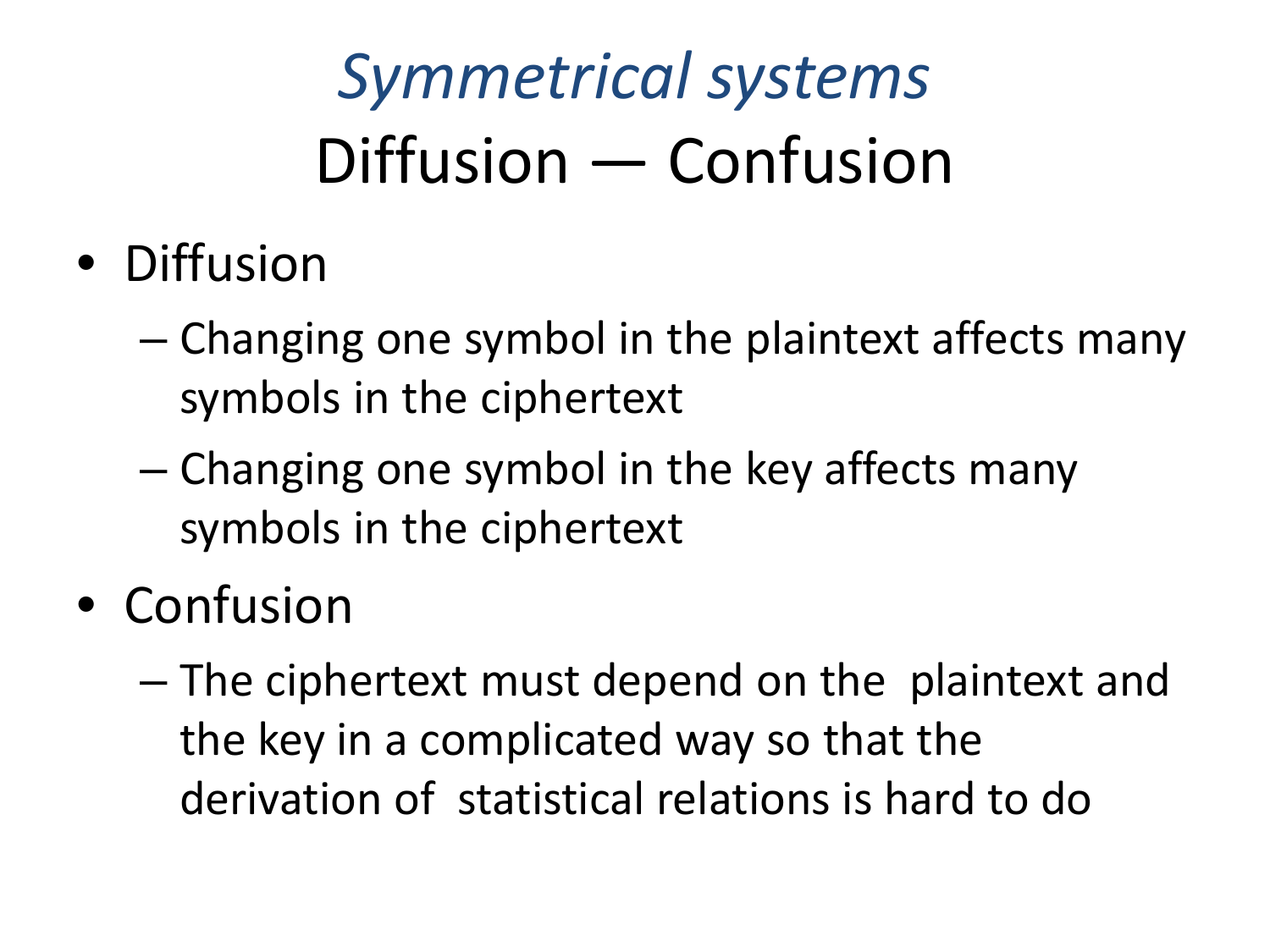### *Symmetrical systems* Diffusion — Confusion

- Diffusion
	- Changing one symbol in the plaintext affects many symbols in the ciphertext
	- Changing one symbol in the key affects many symbols in the ciphertext
- Confusion
	- The ciphertext must depend on the plaintext and the key in a complicated way so that the derivation of statistical relations is hard to do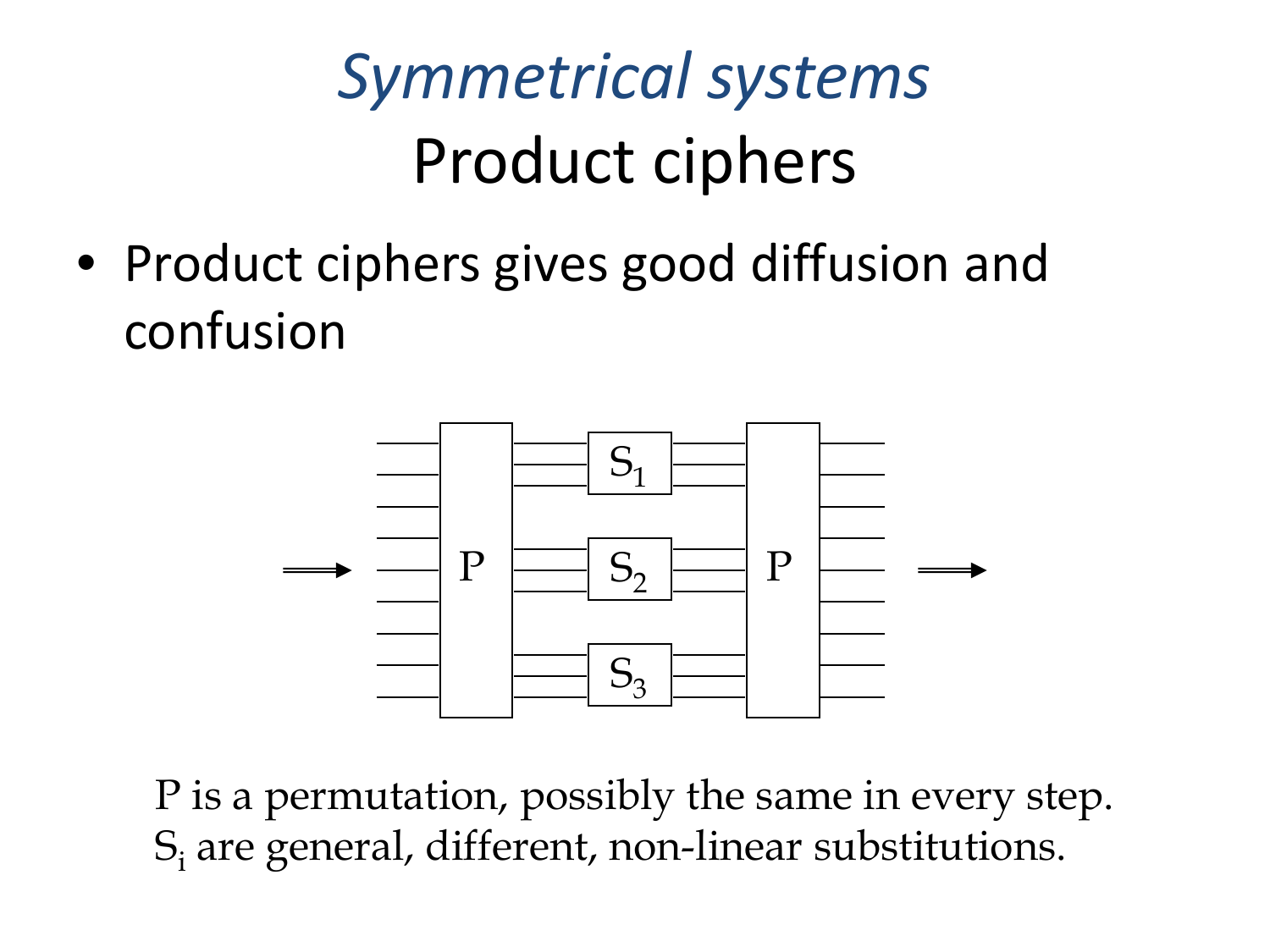#### *Symmetrical systems* Product ciphers

• Product ciphers gives good diffusion and confusion



P is a permutation, possibly the same in every step. Si are general, different, non-linear substitutions.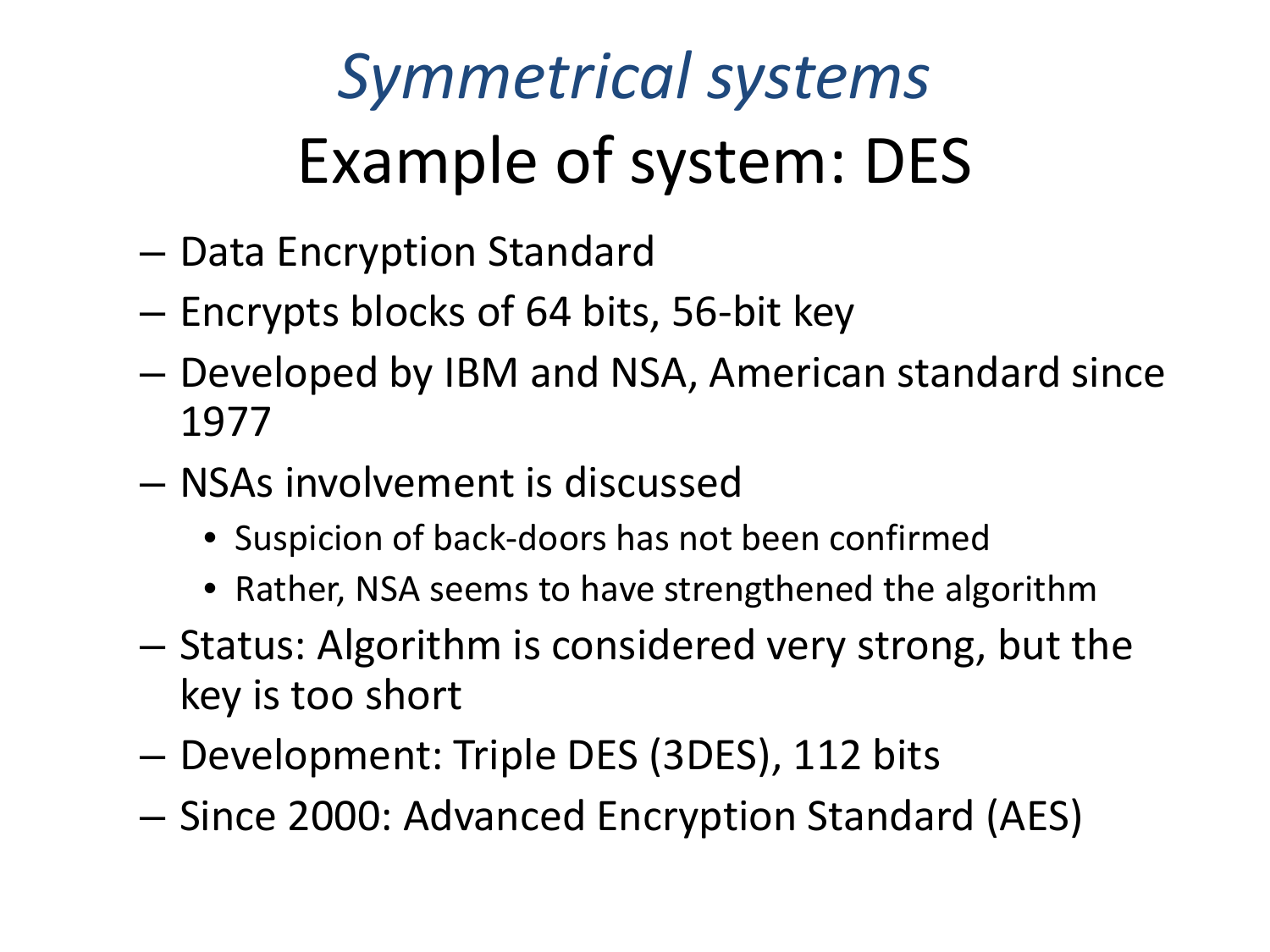## *Symmetrical systems* Example of system: DES

- Data Encryption Standard
- Encrypts blocks of 64 bits, 56-bit key
- Developed by IBM and NSA, American standard since 1977
- NSAs involvement is discussed
	- Suspicion of back-doors has not been confirmed
	- Rather, NSA seems to have strengthened the algorithm
- Status: Algorithm is considered very strong, but the key is too short
- Development: Triple DES (3DES), 112 bits
- Since 2000: Advanced Encryption Standard (AES)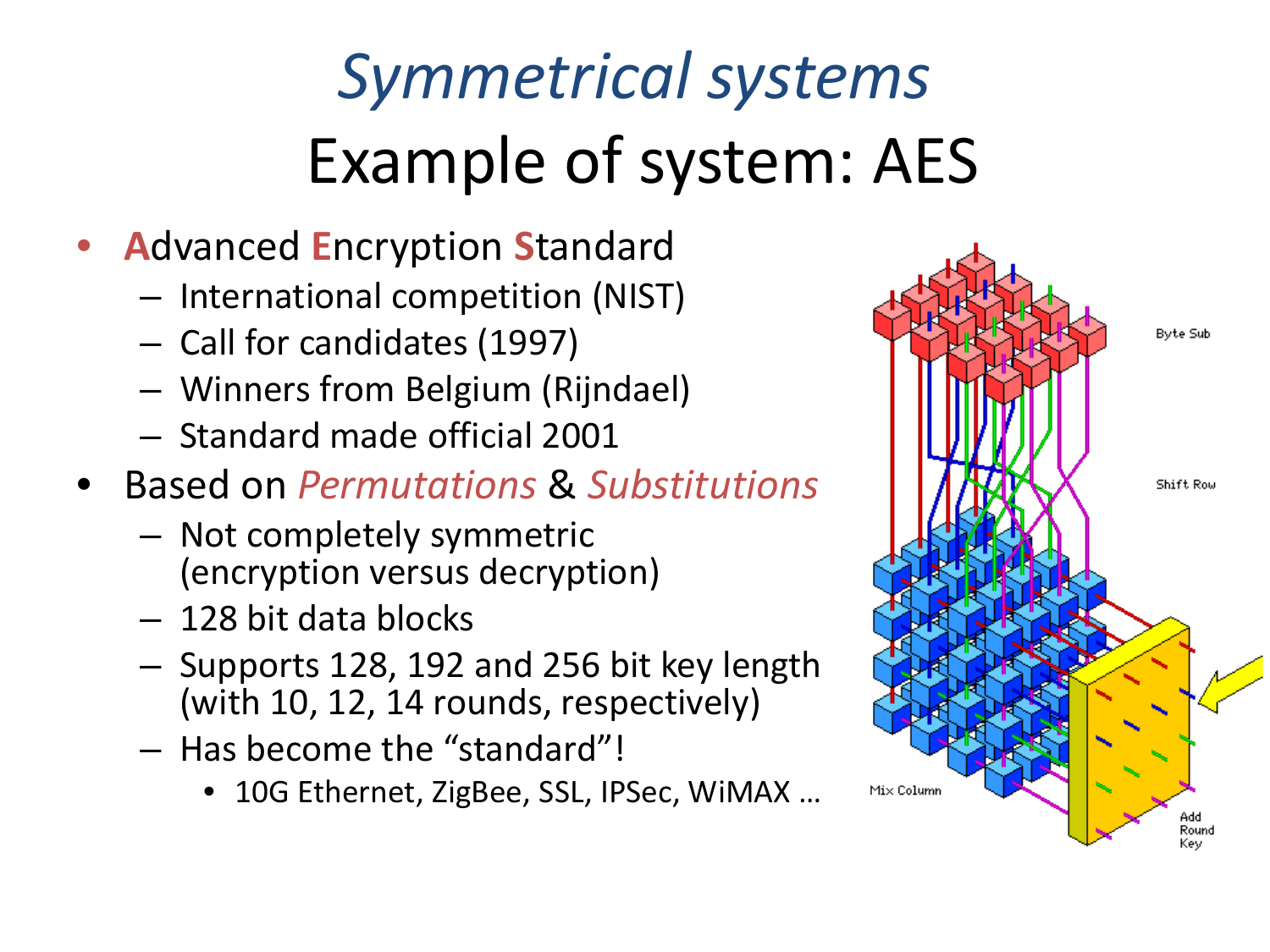## *Symmetrical systems*  Example of system: AES

- **A**dvanced **E**ncryption **S**tandard
	- International competition (NIST)
	- Call for candidates (1997)
	- Winners from Belgium (Rijndael)
	- Standard made official 2001
- Based on *Permutations* & *Substitutions*
	- Not completely symmetric (encryption versus decryption)
	- 128 bit data blocks
	- Supports 128, 192 and 256 bit key length (with 10, 12, 14 rounds, respectively)
	- Has become the "standard"!
		- 10G Ethernet, ZigBee, SSL, IPSec, WiMAX ...

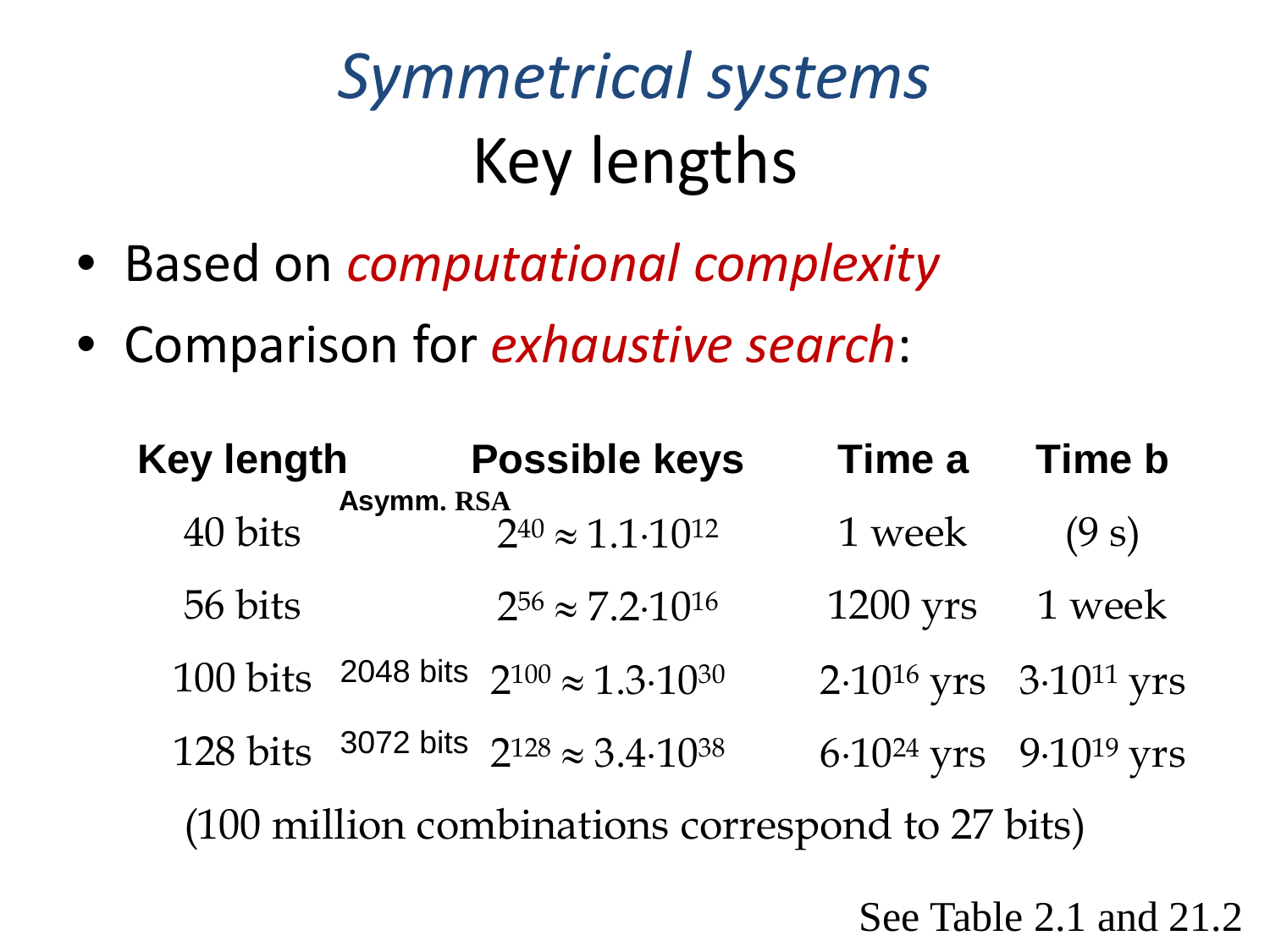## *Symmetrical systems*  Key lengths

- Based on *computational complexity*
- Comparison for *exhaustive search*:

| <b>Key length</b>                                |            | <b>Possible keys</b>                                   | Time a                                        | <b>Time b</b> |
|--------------------------------------------------|------------|--------------------------------------------------------|-----------------------------------------------|---------------|
| 40 bits                                          | Asymm. RSA | $2^{40} \approx 1.1 \cdot 10^{12}$                     | 1 week                                        | (9 s)         |
| 56 bits                                          |            | $2^{56} \approx 7.2 \cdot 10^{16}$                     | 1200 yrs                                      | 1 week        |
| 100 bits                                         |            | 2048 bits $2^{100} \approx 1.3 \cdot 10^{30}$          | 2.10 <sup>16</sup> yrs 3.10 <sup>11</sup> yrs |               |
|                                                  |            | 128 bits 3072 bits $2^{128} \approx 3.4 \cdot 10^{38}$ | 6.10 <sup>24</sup> yrs 9.10 <sup>19</sup> yrs |               |
| (100 million combinations correspond to 27 bits) |            |                                                        |                                               |               |

See Table 2.1 and 21.2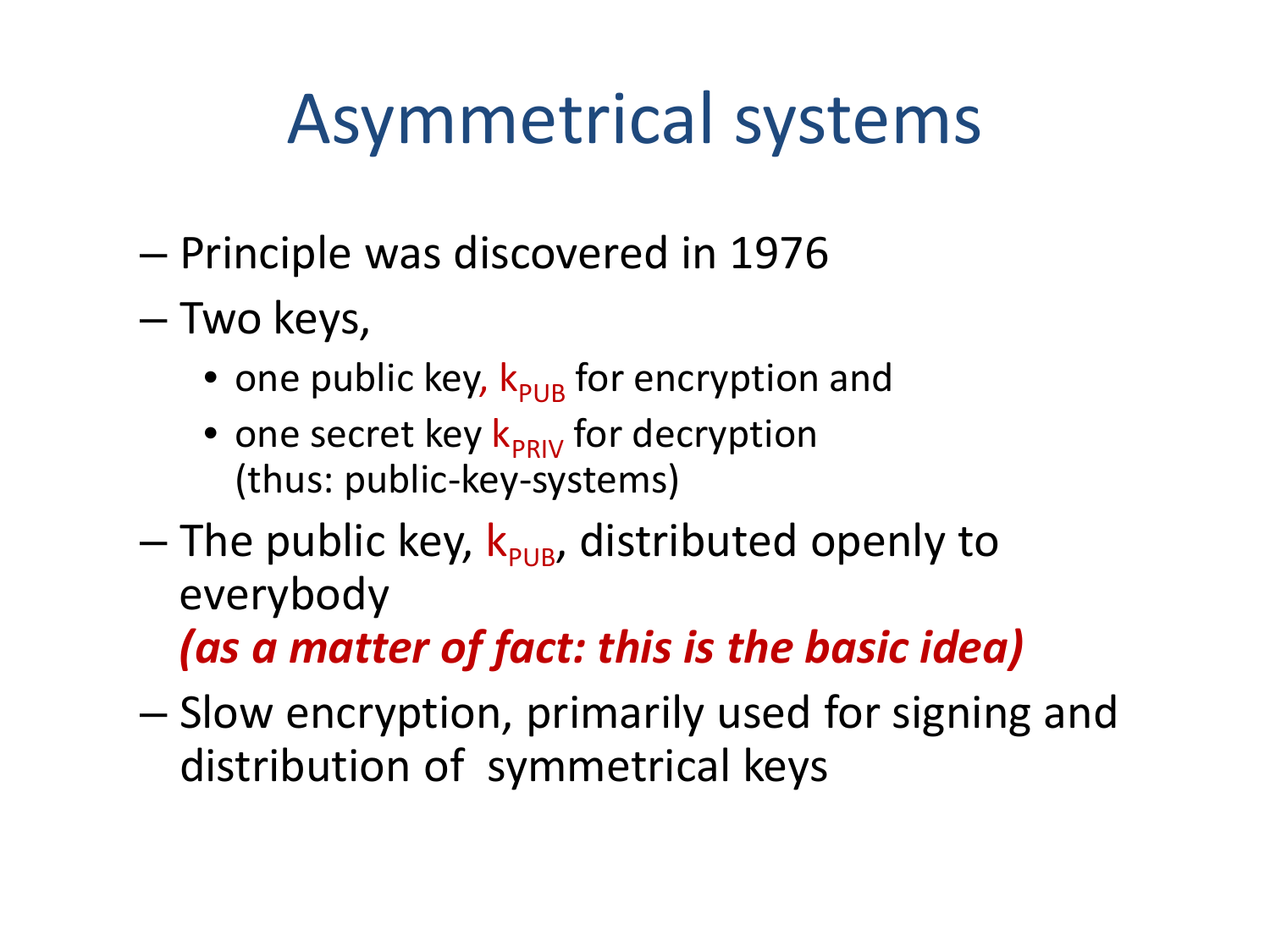### Asymmetrical systems

- Principle was discovered in 1976
- Two keys,
	- one public key,  $k_{PIB}$  for encryption and
	- one secret key  $k_{PRIV}$  for decryption (thus: public-key-systems)
- $-$  The public key,  $k_{\text{PLB}}$ , distributed openly to everybody *(as a matter of fact: this is the basic idea)*
- Slow encryption, primarily used for signing and distribution of symmetrical keys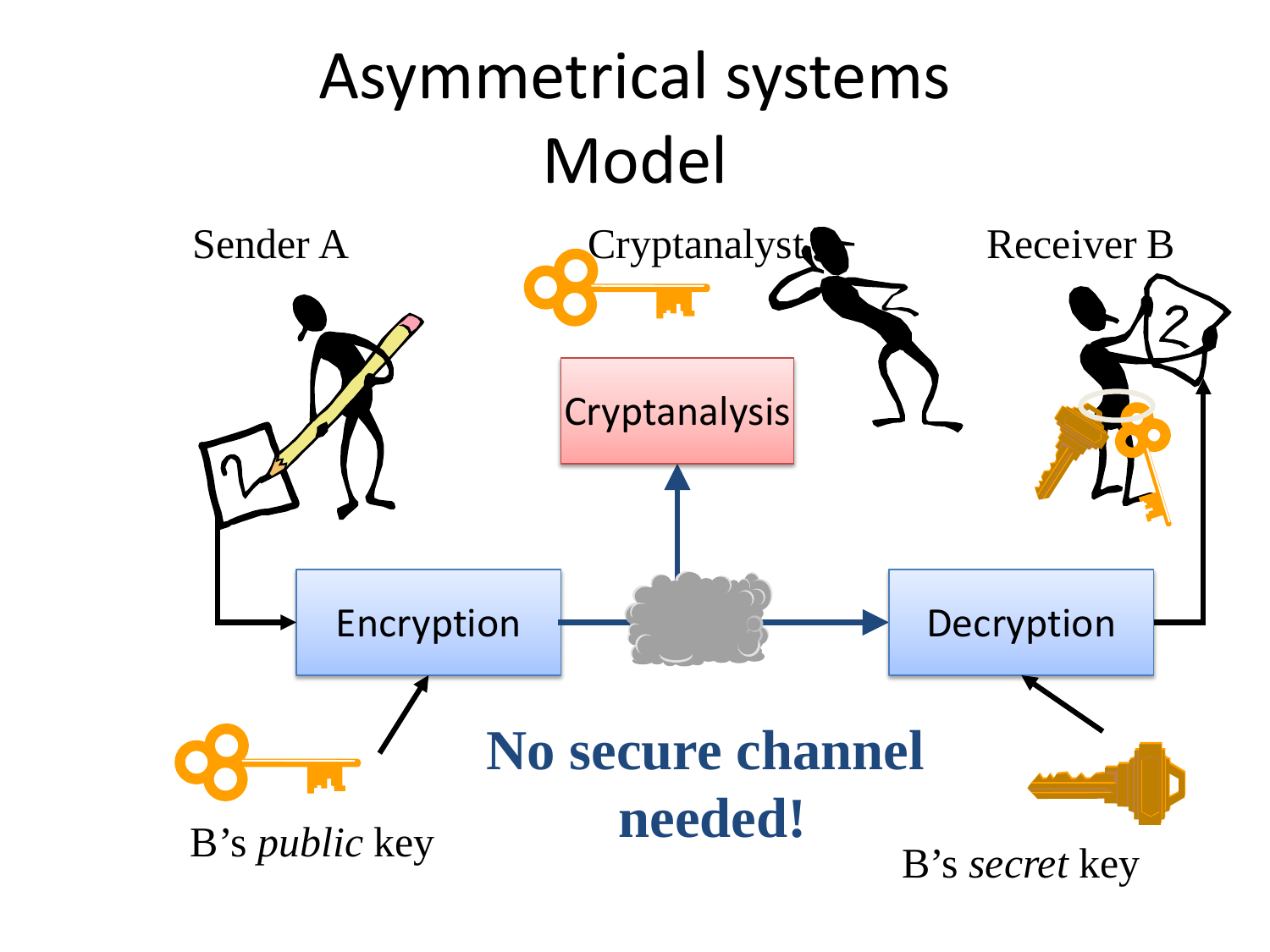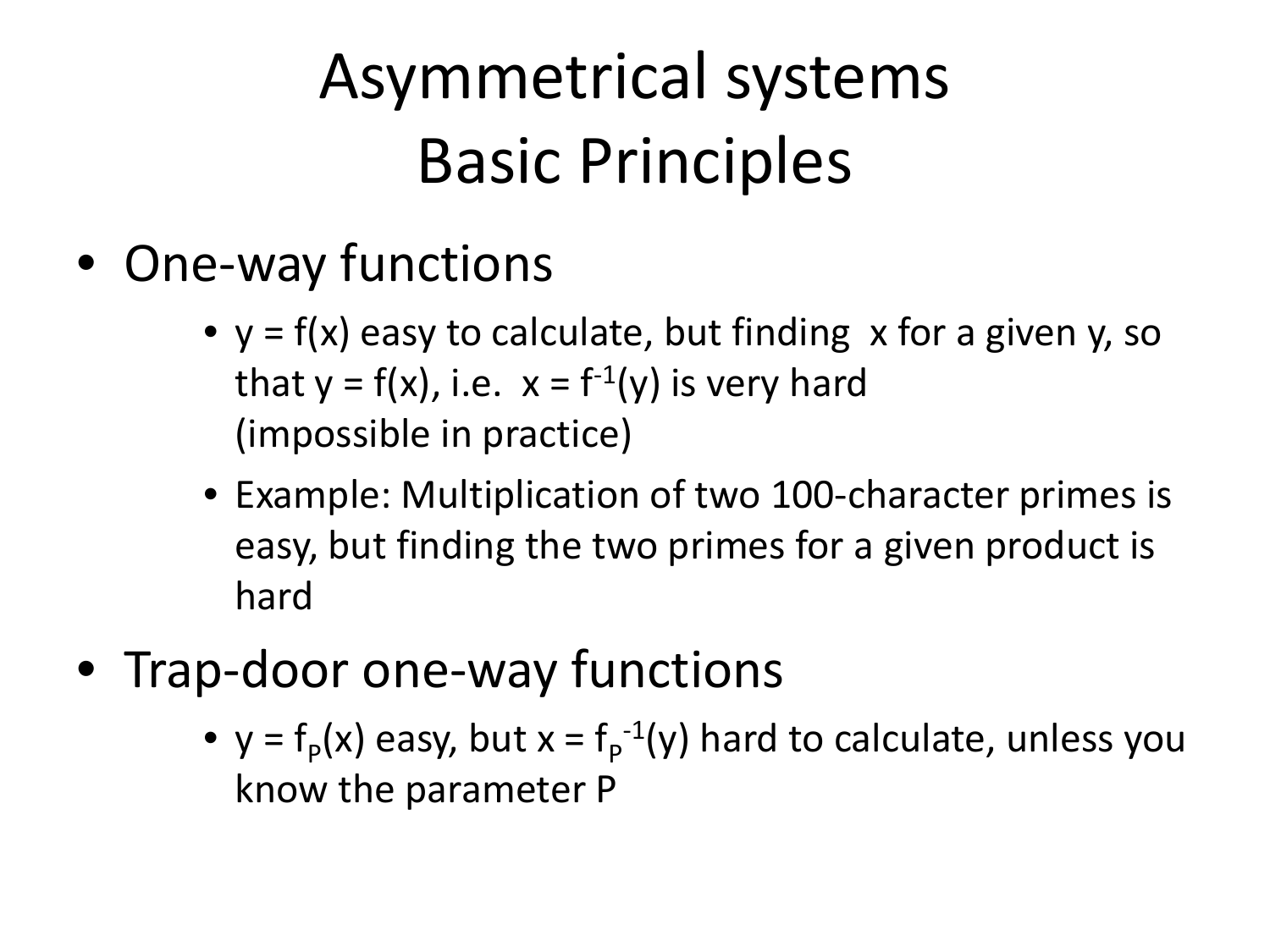#### Asymmetrical systems Basic Principles

- One-way functions
	- $y = f(x)$  easy to calculate, but finding x for a given y, so that  $y = f(x)$ , i.e.  $x = f^{-1}(y)$  is very hard (impossible in practice)
	- Example: Multiplication of two 100-character primes is easy, but finding the two primes for a given product is hard
- Trap-door one-way functions
	- $y = f<sub>p</sub>(x)$  easy, but  $x = f<sub>p</sub><sup>-1</sup>(y)$  hard to calculate, unless you know the parameter P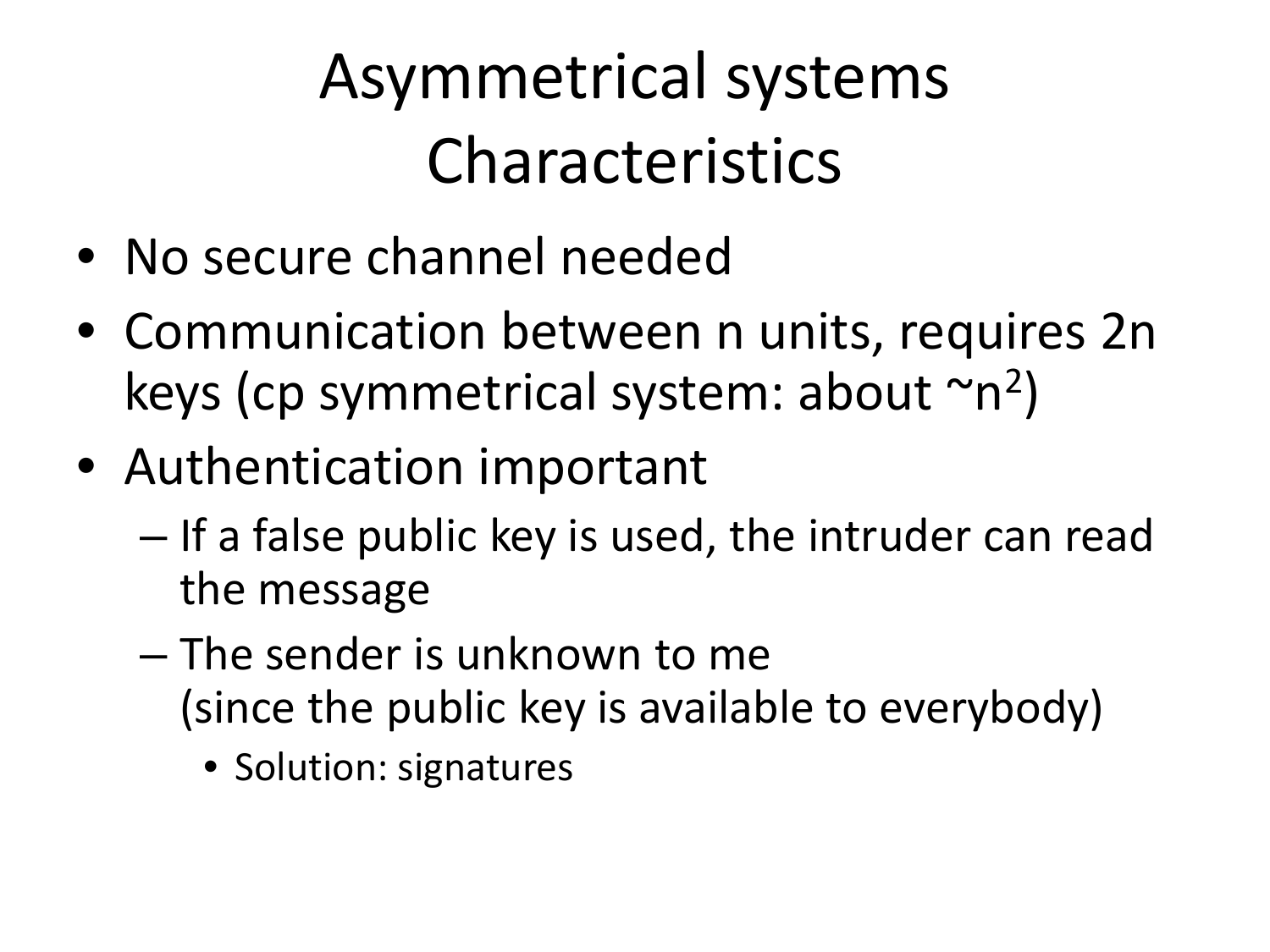#### Asymmetrical systems Characteristics

- No secure channel needed
- Communication between n units, requires 2n keys (cp symmetrical system: about  $\sim n^2$ )
- Authentication important
	- If a false public key is used, the intruder can read the message
	- The sender is unknown to me (since the public key is available to everybody)
		- Solution: signatures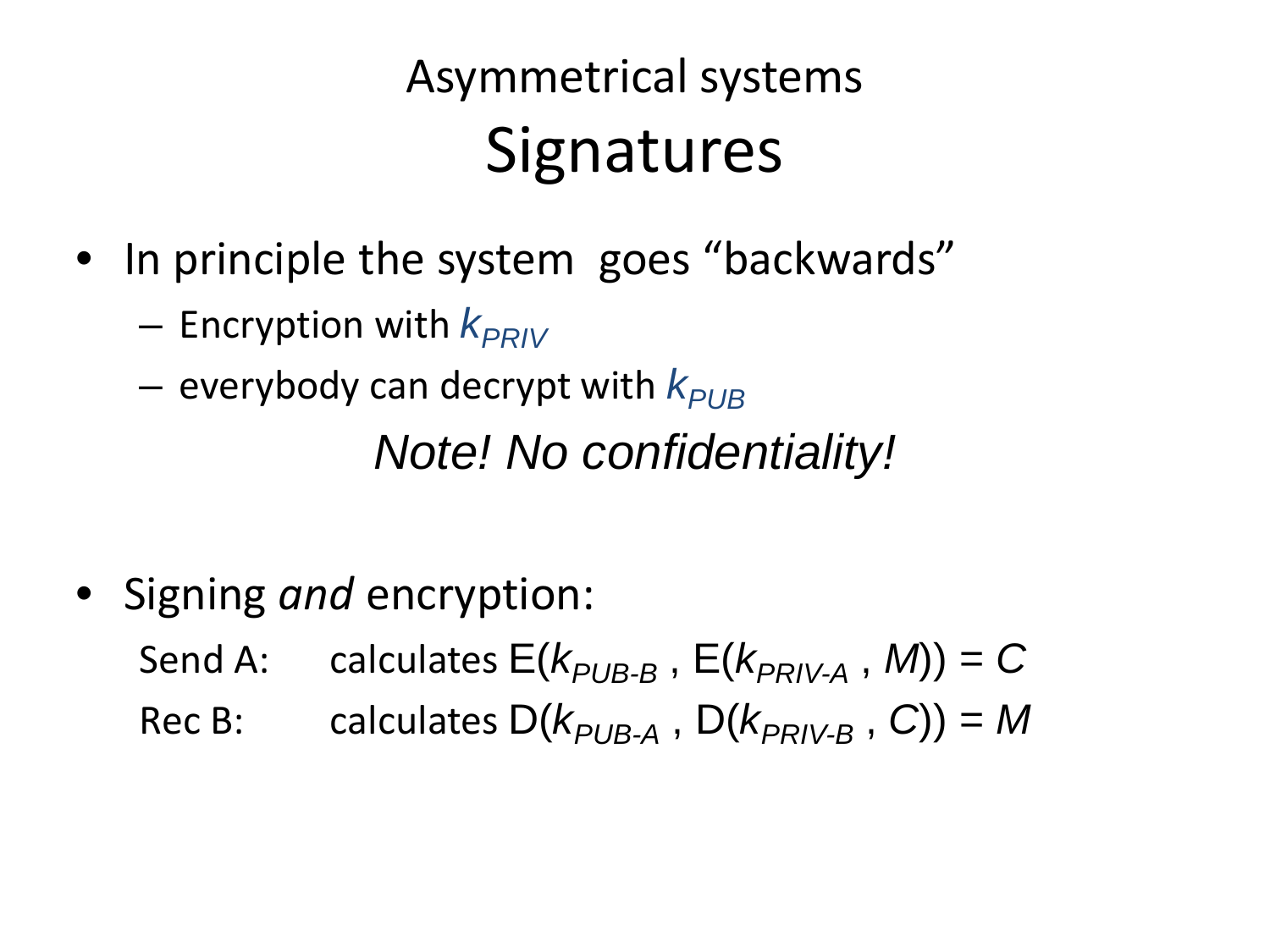#### Asymmetrical systems **Signatures**

- In principle the system goes "backwards"
	- $-$  Encryption with  $k_{PRIV}$
	- $-$  everybody can decrypt with  $k_{PIB}$

*Note! No confidentiality!*

• Signing *and* encryption:

Send A: calculates  $E(k_{PI/B-B}, E(k_{PRIV-A}, M)) = C$ 

Rec B: calculates  $D(k_{PI/B-A}, D(k_{PRIV-B}, C)) = M$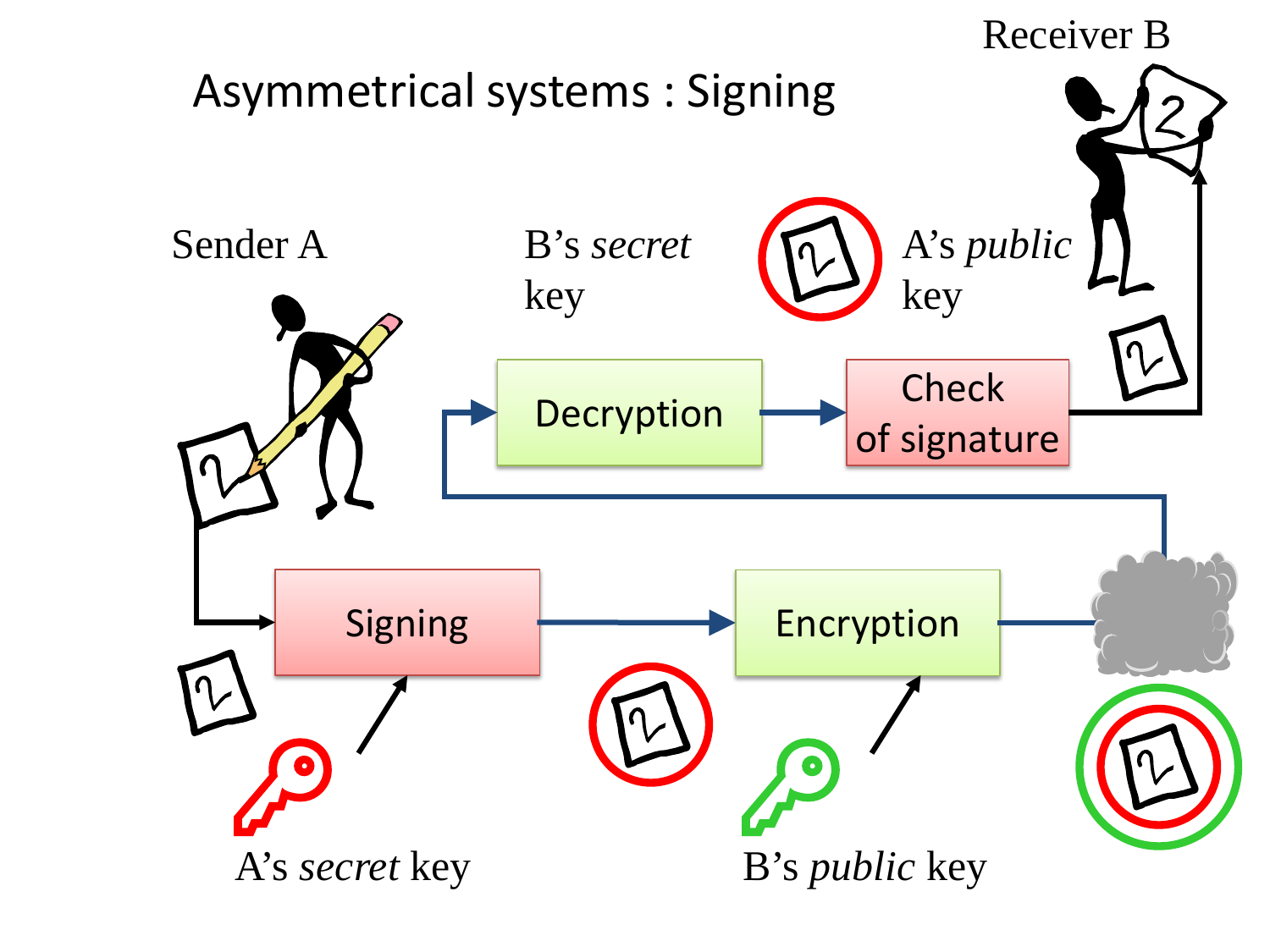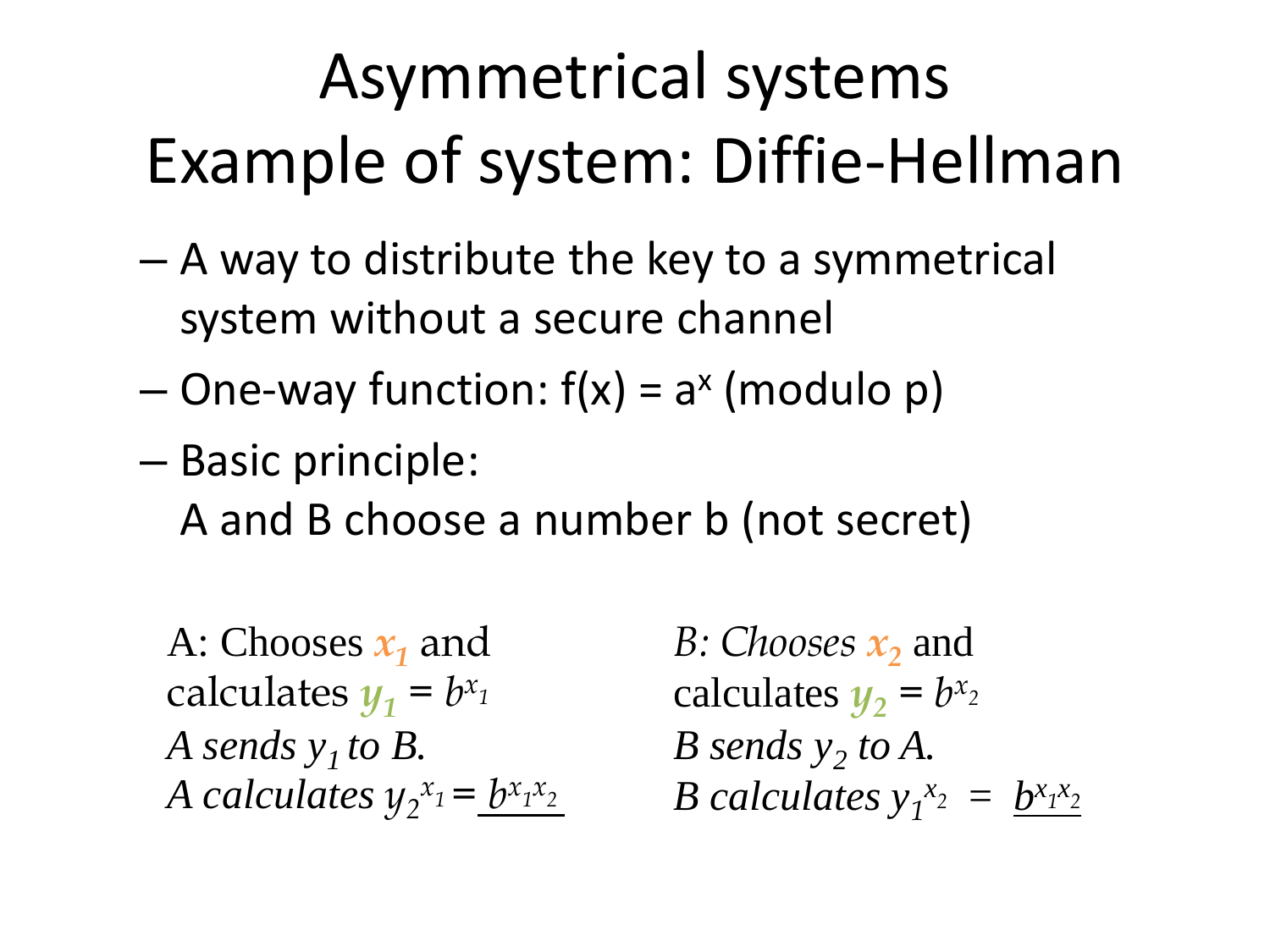## Asymmetrical systems Example of system: Diffie-Hellman

- A way to distribute the key to a symmetrical system without a secure channel
- $-$  One-way function:  $f(x) = a^x$  (modulo p)
- Basic principle: A and B choose a number b (not secret)

A: Chooses  $x_1$  and calculates  $y_1 = b^{x_1}$ *A sends*  $y<sub>1</sub>$  *to B. A calculates*  $y_2^{x_1} = \underline{b^{x_1x_2}}$ 

*B: Chooses*  $x_2$  and calculates  $y_2 = b^{x_2}$ *B sends*  $y_2$  *to A. B calculates*  $y_1^x{}^2 = b^x{}^1{}^x{}^2$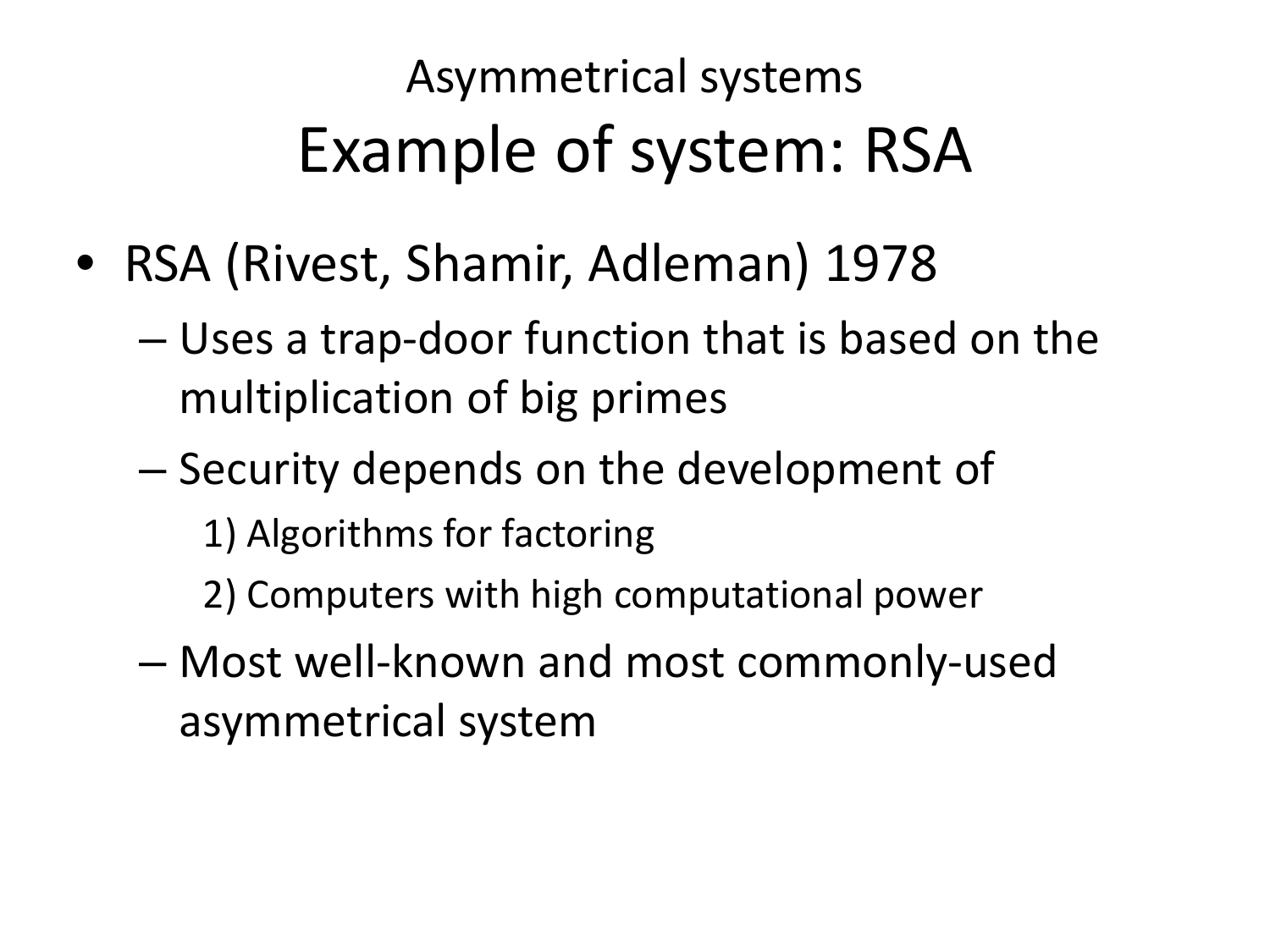#### Asymmetrical systems Example of system: RSA

- RSA (Rivest, Shamir, Adleman) 1978
	- Uses a trap-door function that is based on the multiplication of big primes
	- Security depends on the development of
		- 1) Algorithms for factoring
		- 2) Computers with high computational power
	- Most well-known and most commonly-used asymmetrical system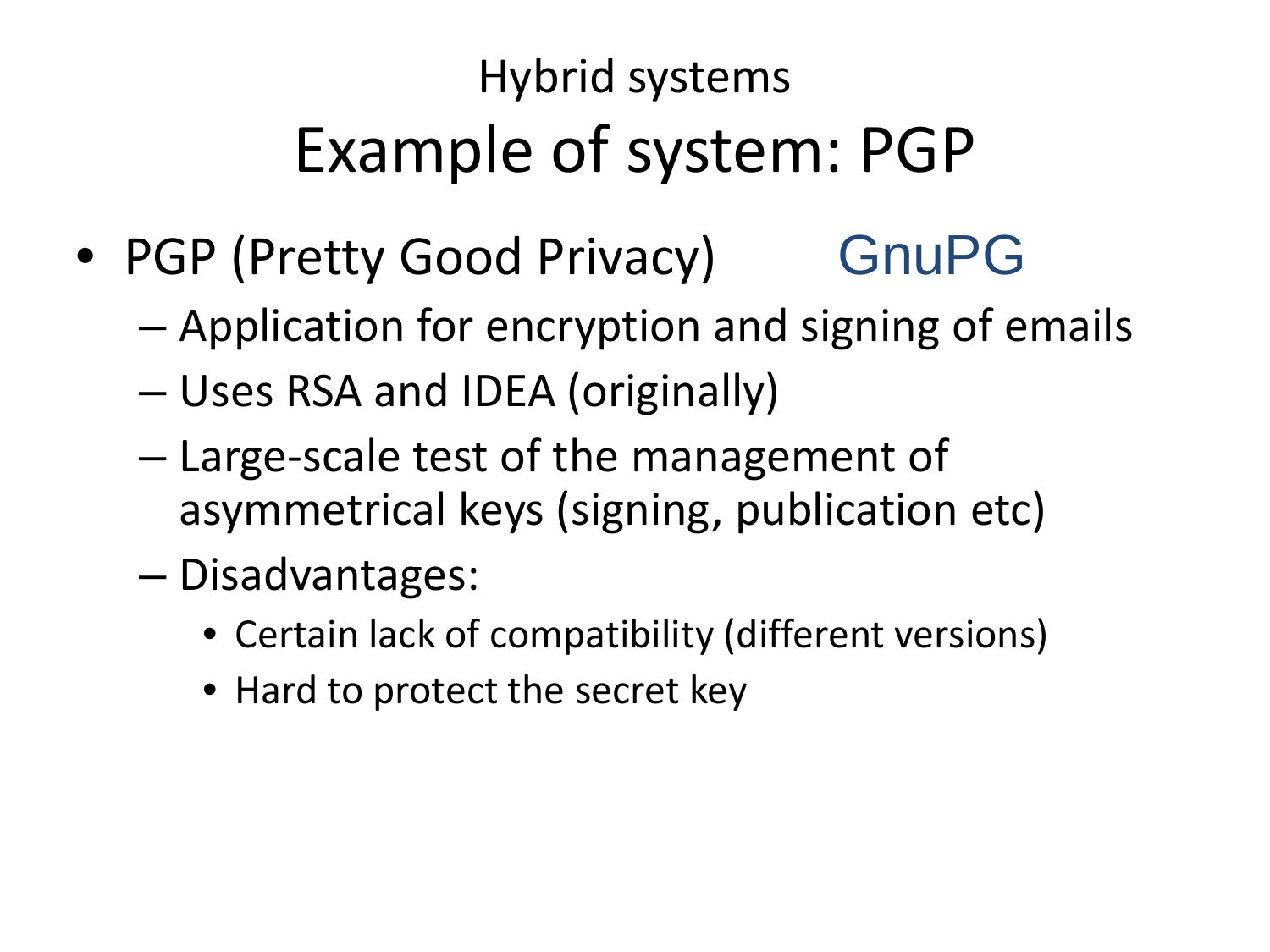#### Hybrid systems Example of system: PGP

- PGP (Pretty Good Privacy) GnuPG
	- Application for encryption and signing of emails
	- Uses RSA and IDEA (originally)
	- Large-scale test of the management of asymmetrical keys (signing, publication etc)
	- Disadvantages:
		- Certain lack of compatibility (different versions)
		- Hard to protect the secret key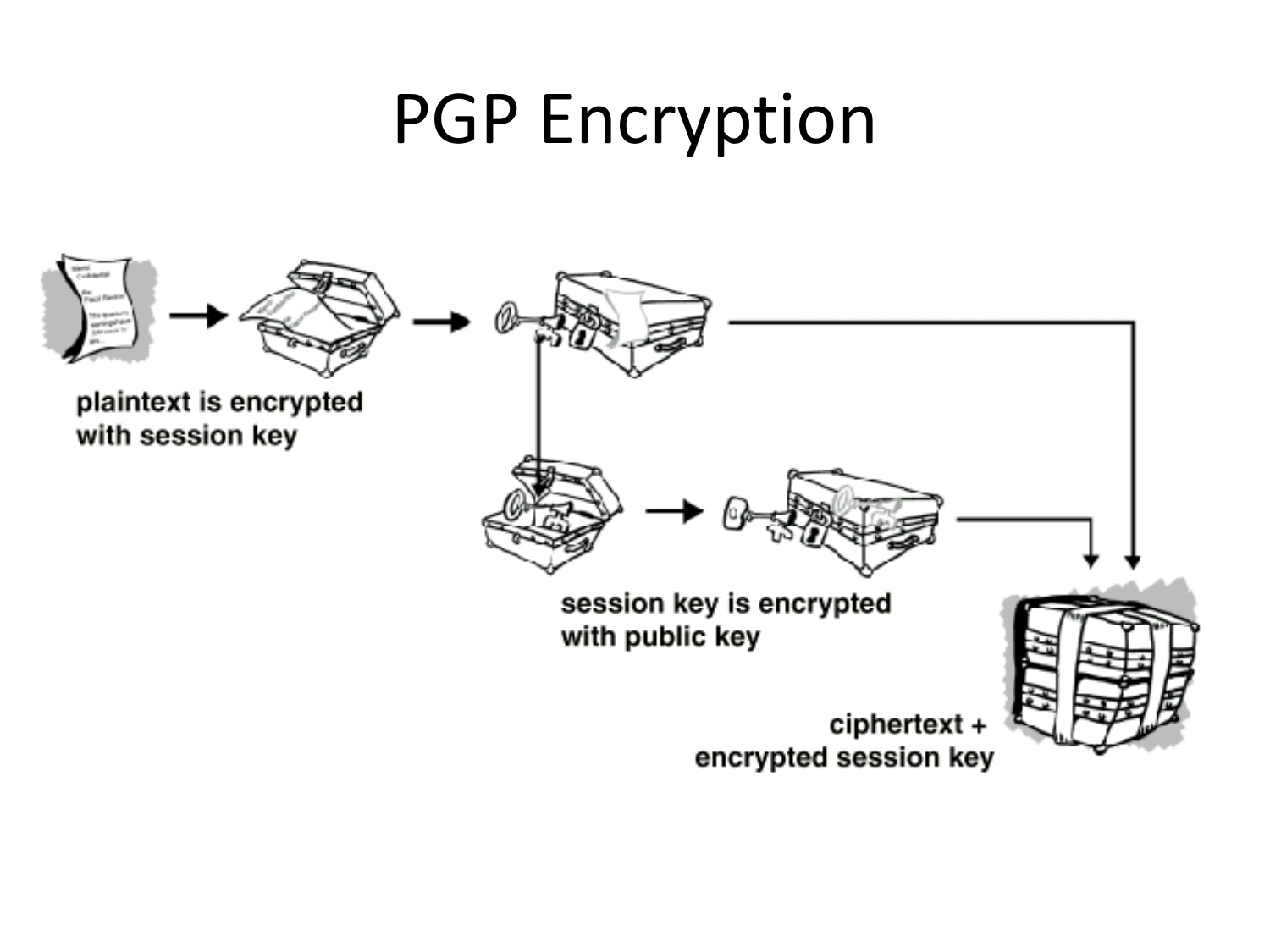#### PGP Encryption

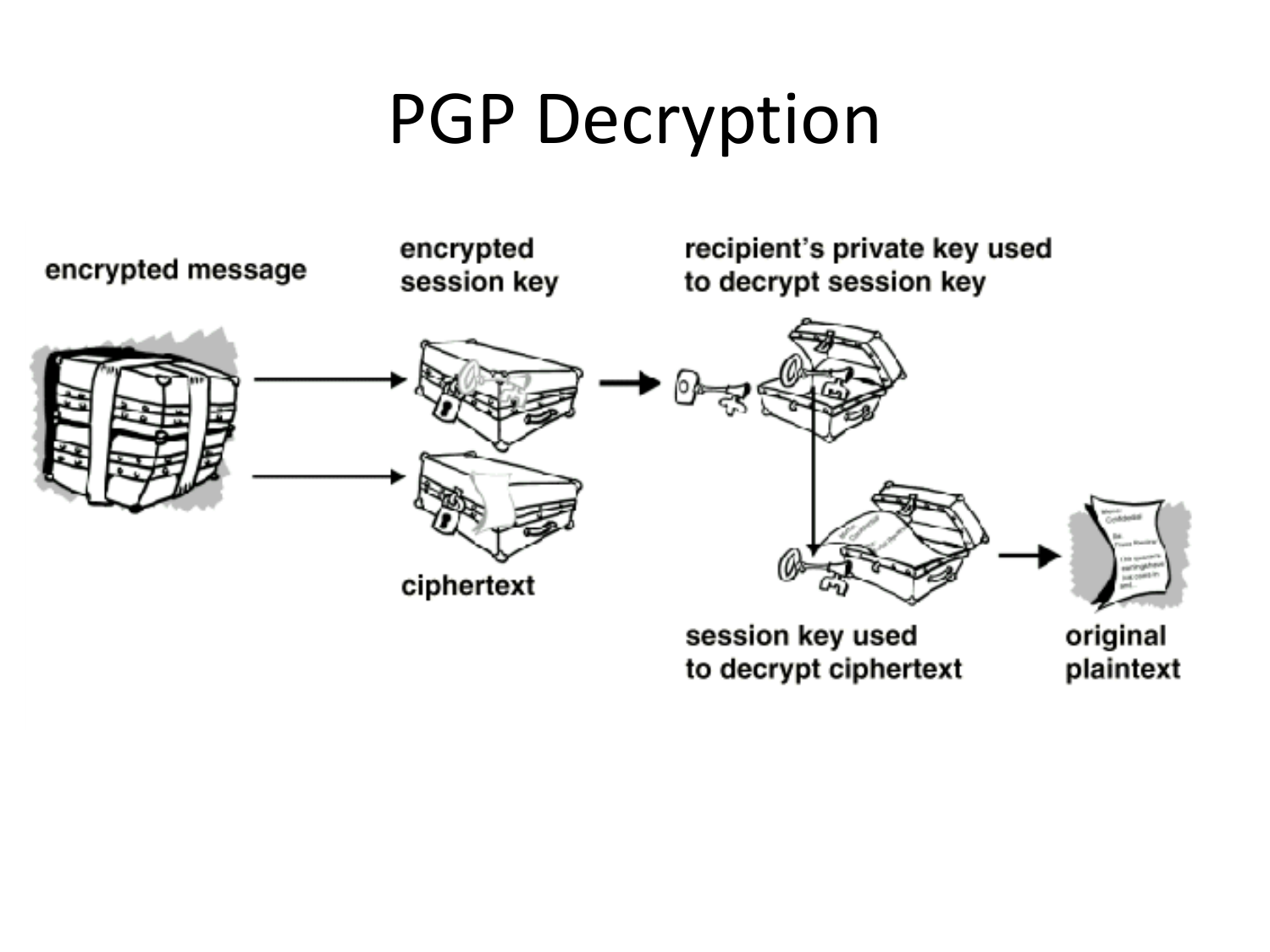#### PGP Decryption

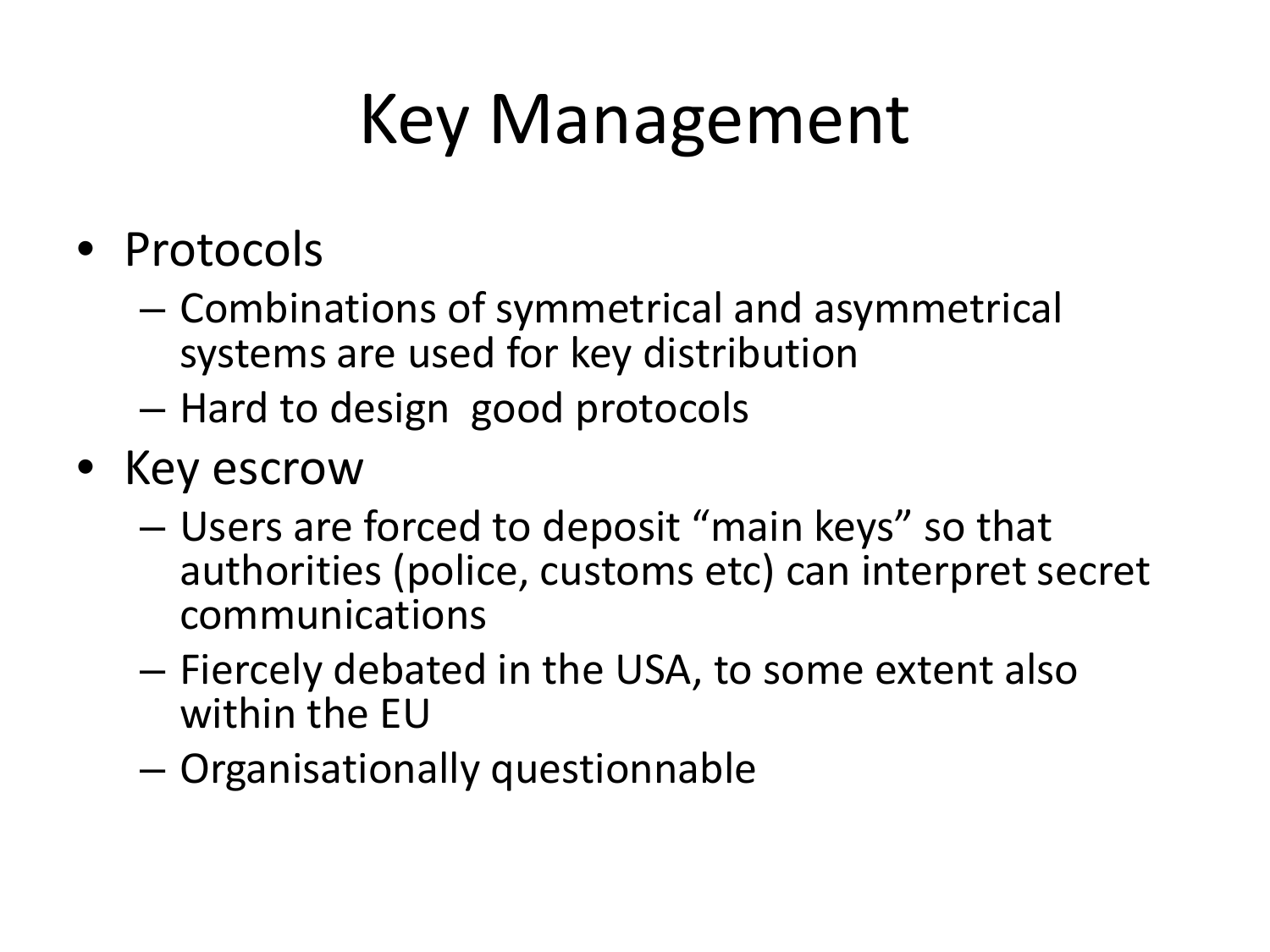## Key Management

- Protocols
	- Combinations of symmetrical and asymmetrical systems are used for key distribution
	- Hard to design good protocols
- Key escrow
	- Users are forced to deposit "main keys" so that authorities (police, customs etc) can interpret secret communications
	- Fiercely debated in the USA, to some extent also within the EU
	- Organisationally questionnable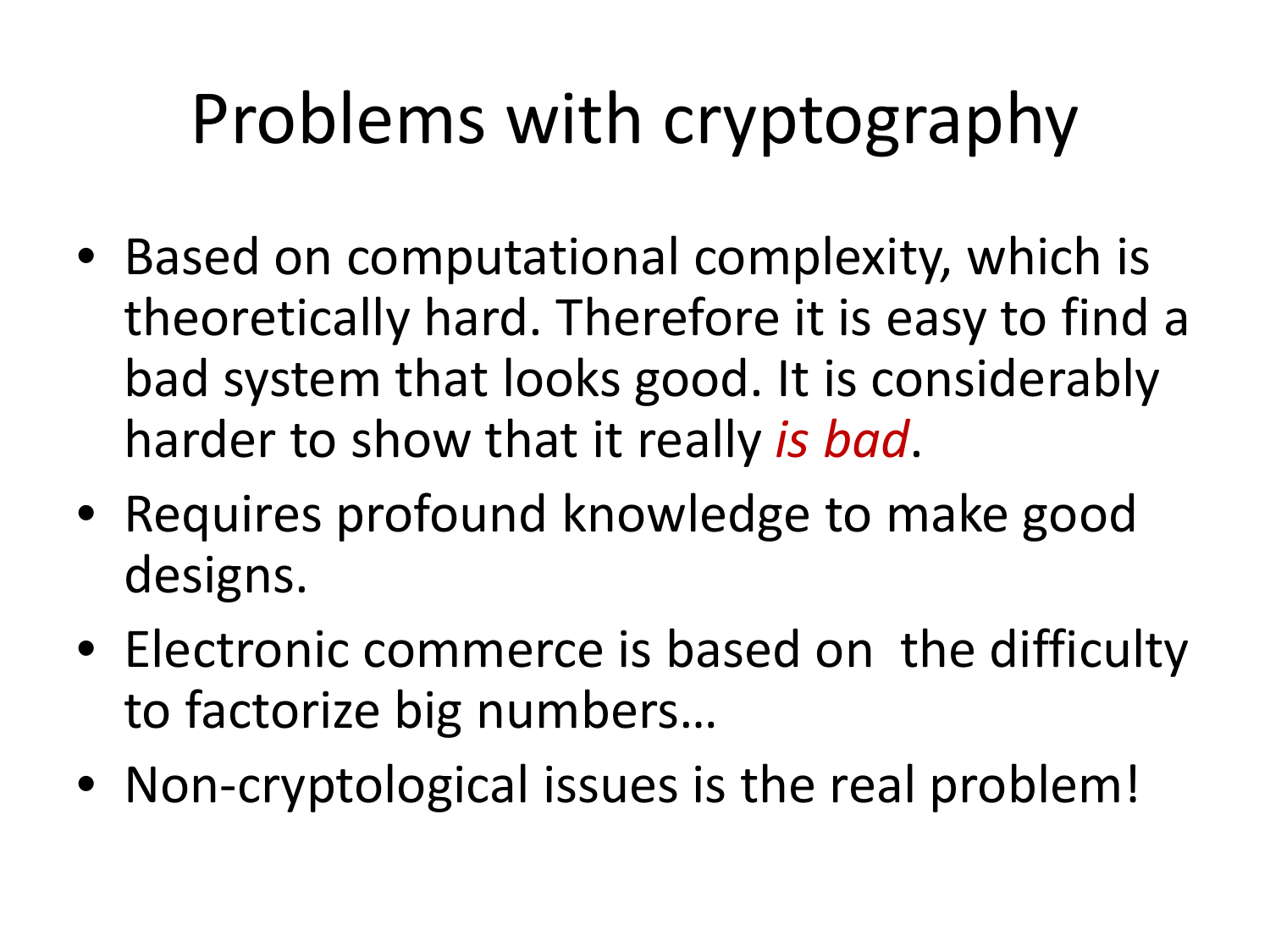## Problems with cryptography

- Based on computational complexity, which is theoretically hard. Therefore it is easy to find a bad system that looks good. It is considerably harder to show that it really *is bad*.
- Requires profound knowledge to make good designs.
- Electronic commerce is based on the difficulty to factorize big numbers…
- Non-cryptological issues is the real problem!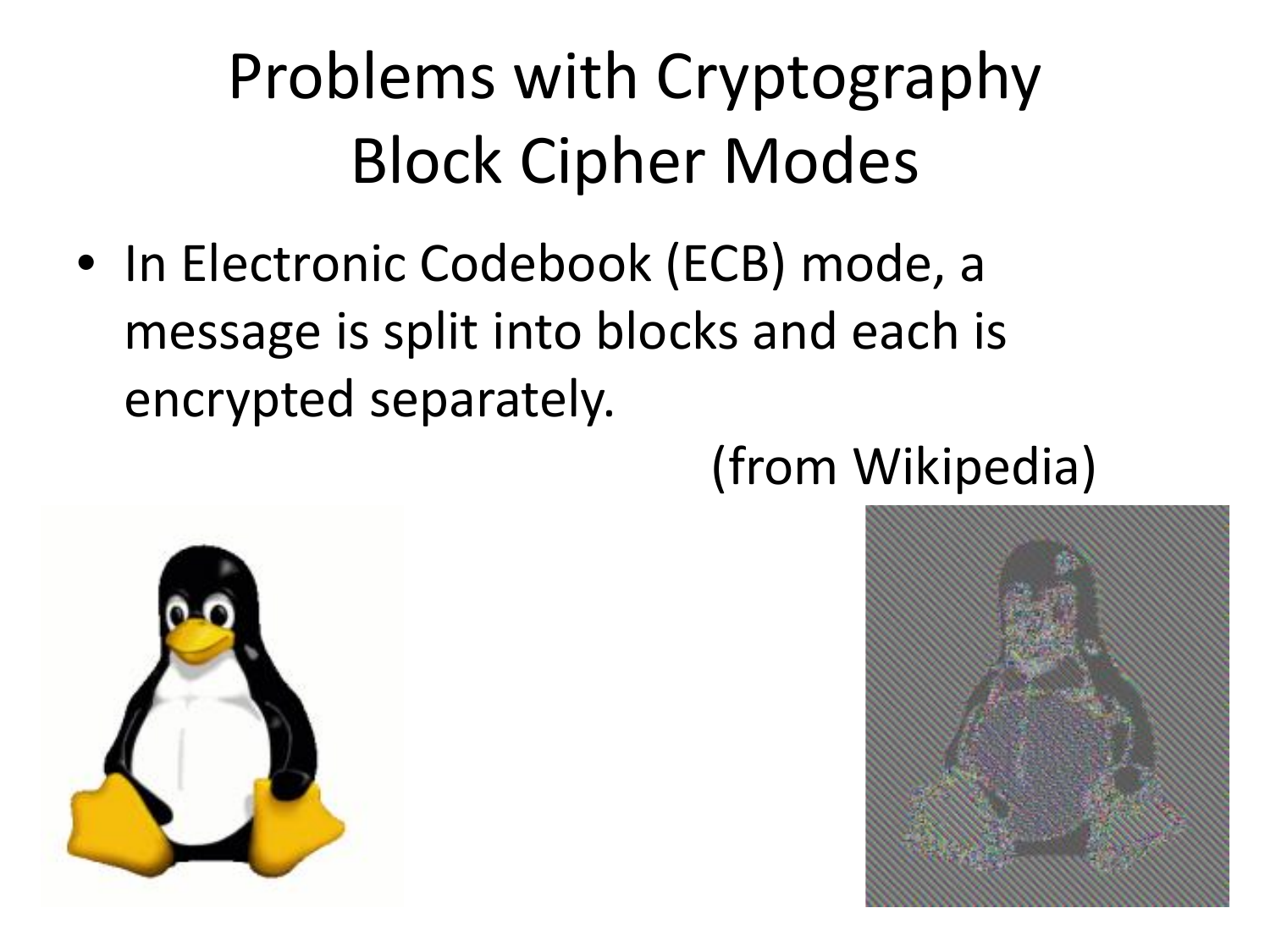## Problems with Cryptography Block Cipher Modes

• In Electronic Codebook (ECB) mode, a message is split into blocks and each is encrypted separately.



#### (from Wikipedia)